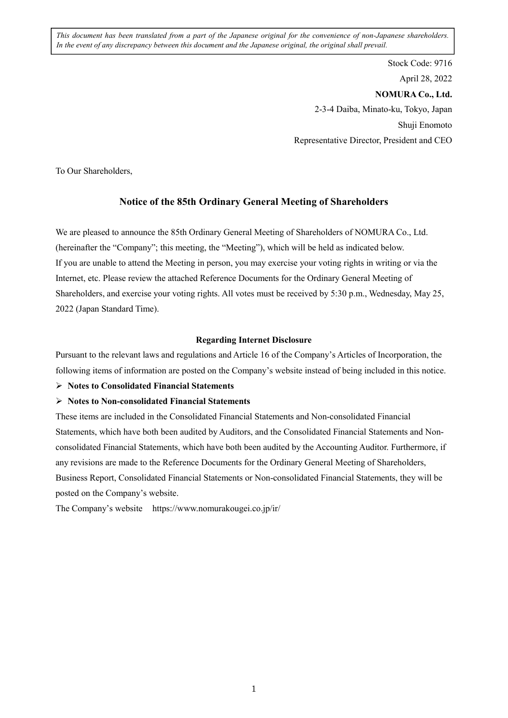*This document has been translated from a part of the Japanese original for the convenience of non-Japanese shareholders. In the event of any discrepancy between this document and the Japanese original, the original shall prevail.*

> Stock Code: 9716 April 28, 2022 **NOMURA Co., Ltd.**  2-3-4 Daiba, Minato-ku, Tokyo, Japan Shuji Enomoto Representative Director, President and CEO

To Our Shareholders,

## **Notice of the 85th Ordinary General Meeting of Shareholders**

We are pleased to announce the 85th Ordinary General Meeting of Shareholders of NOMURA Co., Ltd. (hereinafter the "Company"; this meeting, the "Meeting"), which will be held as indicated below. If you are unable to attend the Meeting in person, you may exercise your voting rights in writing or via the Internet, etc. Please review the attached Reference Documents for the Ordinary General Meeting of Shareholders, and exercise your voting rights. All votes must be received by 5:30 p.m., Wednesday, May 25, 2022 (Japan Standard Time).

### **Regarding Internet Disclosure**

Pursuant to the relevant laws and regulations and Article 16 of the Company's Articles of Incorporation, the following items of information are posted on the Company's website instead of being included in this notice.

### **Notes to Consolidated Financial Statements**

### **Notes to Non-consolidated Financial Statements**

These items are included in the Consolidated Financial Statements and Non-consolidated Financial Statements, which have both been audited by Auditors, and the Consolidated Financial Statements and Nonconsolidated Financial Statements, which have both been audited by the Accounting Auditor. Furthermore, if any revisions are made to the Reference Documents for the Ordinary General Meeting of Shareholders, Business Report, Consolidated Financial Statements or Non-consolidated Financial Statements, they will be posted on the Company's website.

The Company's website https://www.nomurakougei.co.jp/ir/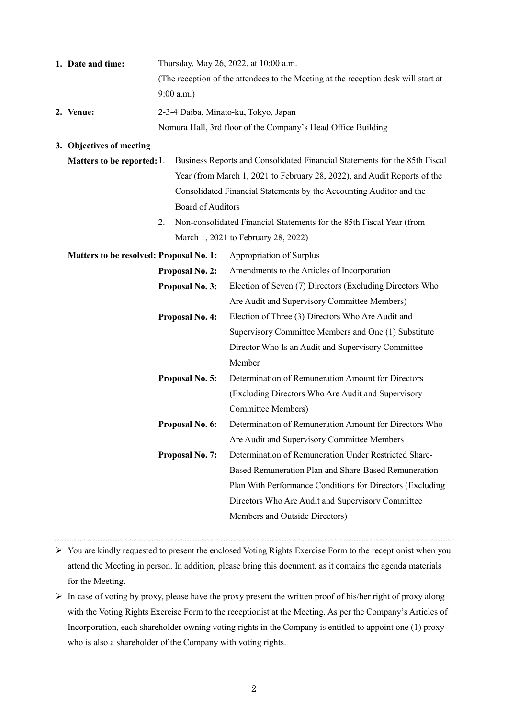| 1. Date and time: | Thursday, May 26, 2022, at 10:00 a.m.                                              |
|-------------------|------------------------------------------------------------------------------------|
|                   | (The reception of the attendees to the Meeting at the reception desk will start at |
|                   | $9:00$ a.m.)                                                                       |
| 2. Venue:         | 2-3-4 Daiba, Minato-ku, Tokyo, Japan                                               |
|                   | Nomura Hall, 3rd floor of the Company's Head Office Building                       |

### **3. Objectives of meeting**

- **Matters to be reported:** 1. Business Reports and Consolidated Financial Statements for the 85th Fiscal Year (from March 1, 2021 to February 28, 2022), and Audit Reports of the Consolidated Financial Statements by the Accounting Auditor and the Board of Auditors
	- 2. Non-consolidated Financial Statements for the 85th Fiscal Year (from March 1, 2021 to February 28, 2022)

| <b>Matters to be resolved: Proposal No. 1:</b> |                        | Appropriation of Surplus                                  |
|------------------------------------------------|------------------------|-----------------------------------------------------------|
|                                                | <b>Proposal No. 2:</b> | Amendments to the Articles of Incorporation               |
|                                                | <b>Proposal No. 3:</b> | Election of Seven (7) Directors (Excluding Directors Who  |
|                                                |                        | Are Audit and Supervisory Committee Members)              |
|                                                | <b>Proposal No. 4:</b> | Election of Three (3) Directors Who Are Audit and         |
|                                                |                        | Supervisory Committee Members and One (1) Substitute      |
|                                                |                        | Director Who Is an Audit and Supervisory Committee        |
|                                                |                        | Member                                                    |
|                                                | <b>Proposal No. 5:</b> | Determination of Remuneration Amount for Directors        |
|                                                |                        | (Excluding Directors Who Are Audit and Supervisory        |
|                                                |                        | Committee Members)                                        |
|                                                | Proposal No. 6:        | Determination of Remuneration Amount for Directors Who    |
|                                                |                        | Are Audit and Supervisory Committee Members               |
|                                                | Proposal No. 7:        | Determination of Remuneration Under Restricted Share-     |
|                                                |                        | Based Remuneration Plan and Share-Based Remuneration      |
|                                                |                        | Plan With Performance Conditions for Directors (Excluding |
|                                                |                        | Directors Who Are Audit and Supervisory Committee         |
|                                                |                        | Members and Outside Directors)                            |
|                                                |                        |                                                           |

 $\triangleright$  You are kindly requested to present the enclosed Voting Rights Exercise Form to the receptionist when you attend the Meeting in person. In addition, please bring this document, as it contains the agenda materials for the Meeting.

 $\triangleright$  In case of voting by proxy, please have the proxy present the written proof of his/her right of proxy along with the Voting Rights Exercise Form to the receptionist at the Meeting. As per the Company's Articles of Incorporation, each shareholder owning voting rights in the Company is entitled to appoint one (1) proxy who is also a shareholder of the Company with voting rights.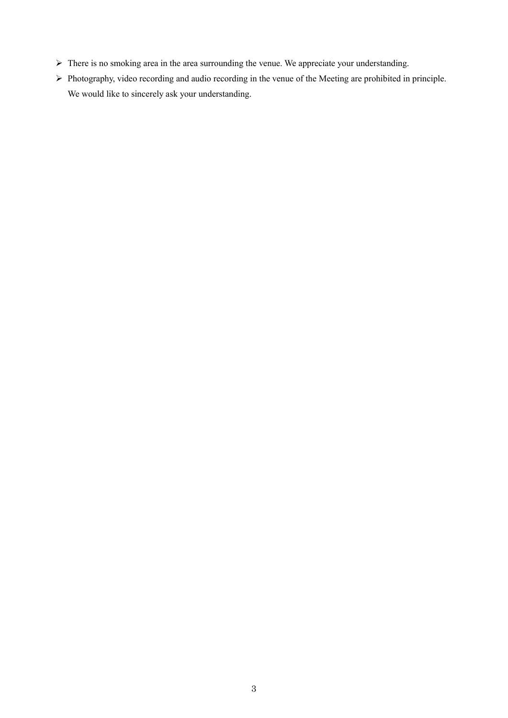- There is no smoking area in the area surrounding the venue. We appreciate your understanding.
- Photography, video recording and audio recording in the venue of the Meeting are prohibited in principle. We would like to sincerely ask your understanding.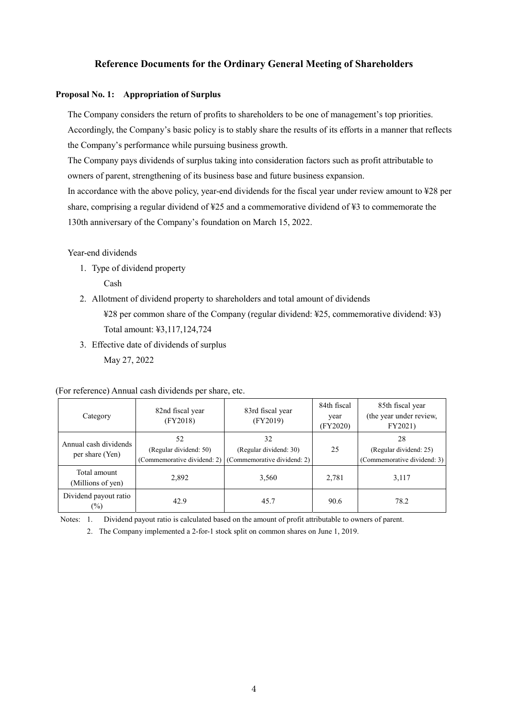## **Reference Documents for the Ordinary General Meeting of Shareholders**

### **Proposal No. 1: Appropriation of Surplus**

The Company considers the return of profits to shareholders to be one of management's top priorities. Accordingly, the Company's basic policy is to stably share the results of its efforts in a manner that reflects the Company's performance while pursuing business growth.

The Company pays dividends of surplus taking into consideration factors such as profit attributable to owners of parent, strengthening of its business base and future business expansion.

In accordance with the above policy, year-end dividends for the fiscal year under review amount to ¥28 per share, comprising a regular dividend of ¥25 and a commemorative dividend of ¥3 to commemorate the 130th anniversary of the Company's foundation on March 15, 2022.

Year-end dividends

1. Type of dividend property

Cash

- 2. Allotment of dividend property to shareholders and total amount of dividends ¥28 per common share of the Company (regular dividend: ¥25, commemorative dividend: ¥3) Total amount: ¥3,117,124,724
- 3. Effective date of dividends of surplus May 27, 2022

(For reference) Annual cash dividends per share, etc.

| Category                                 | 82nd fiscal year<br>(FY2018) | 83rd fiscal year<br>(FY2019)                                                            | 84th fiscal<br>year<br>(FY2020) | 85th fiscal year<br>(the year under review,<br>FY2021)      |
|------------------------------------------|------------------------------|-----------------------------------------------------------------------------------------|---------------------------------|-------------------------------------------------------------|
| Annual cash dividends<br>per share (Yen) | 52<br>(Regular dividend: 50) | 32<br>(Regular dividend: 30)<br>(Commemorative dividend: 2) (Commemorative dividend: 2) | 25                              | 28<br>(Regular dividend: 25)<br>(Commemorative dividend: 3) |
| Total amount<br>(Millions of yen)        | 2,892                        | 3,560                                                                                   | 2,781                           | 3,117                                                       |
| Dividend payout ratio<br>$(\%)$          | 42.9                         | 45.7                                                                                    | 90.6                            | 78.2                                                        |

Notes: 1. Dividend payout ratio is calculated based on the amount of profit attributable to owners of parent.

2. The Company implemented a 2-for-1 stock split on common shares on June 1, 2019.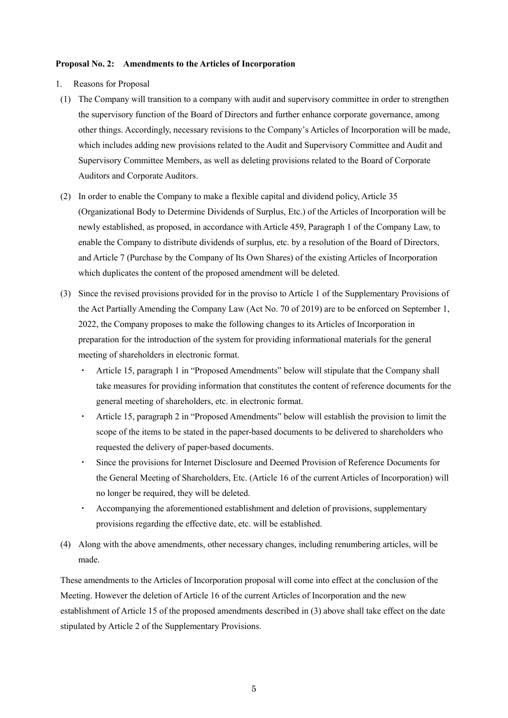#### **Proposal No. 2: Amendments to the Articles of Incorporation**

- 1. Reasons for Proposal
- (1) The Company will transition to a company with audit and supervisory committee in order to strengthen the supervisory function of the Board of Directors and further enhance corporate governance, among other things. Accordingly, necessary revisions to the Company's Articles of Incorporation will be made, which includes adding new provisions related to the Audit and Supervisory Committee and Audit and Supervisory Committee Members, as well as deleting provisions related to the Board of Corporate Auditors and Corporate Auditors.
- (2) In order to enable the Company to make a flexible capital and dividend policy, Article 35 (Organizational Body to Determine Dividends of Surplus, Etc.) of the Articles of Incorporation will be newly established, as proposed, in accordance with Article 459, Paragraph 1 of the Company Law, to enable the Company to distribute dividends of surplus, etc. by a resolution of the Board of Directors, and Article 7 (Purchase by the Company of Its Own Shares) of the existing Articles of Incorporation which duplicates the content of the proposed amendment will be deleted.
- (3) Since the revised provisions provided for in the proviso to Article 1 of the Supplementary Provisions of the Act Partially Amending the Company Law (Act No. 70 of 2019) are to be enforced on September 1, 2022, the Company proposes to make the following changes to its Articles of Incorporation in preparation for the introduction of the system for providing informational materials for the general meeting of shareholders in electronic format.
	- ・ Article 15, paragraph 1 in "Proposed Amendments" below will stipulate that the Company shall take measures for providing information that constitutes the content of reference documents for the general meeting of shareholders, etc. in electronic format.
	- ・ Article 15, paragraph 2 in "Proposed Amendments" below will establish the provision to limit the scope of the items to be stated in the paper-based documents to be delivered to shareholders who requested the delivery of paper-based documents.
	- Since the provisions for Internet Disclosure and Deemed Provision of Reference Documents for the General Meeting of Shareholders, Etc. (Article 16 of the current Articles of Incorporation) will no longer be required, they will be deleted.
	- ・ Accompanying the aforementioned establishment and deletion of provisions, supplementary provisions regarding the effective date, etc. will be established.
- (4) Along with the above amendments, other necessary changes, including renumbering articles, will be made.

These amendments to the Articles of Incorporation proposal will come into effect at the conclusion of the Meeting. However the deletion of Article 16 of the current Articles of Incorporation and the new establishment of Article 15 of the proposed amendments described in (3) above shall take effect on the date stipulated by Article 2 of the Supplementary Provisions.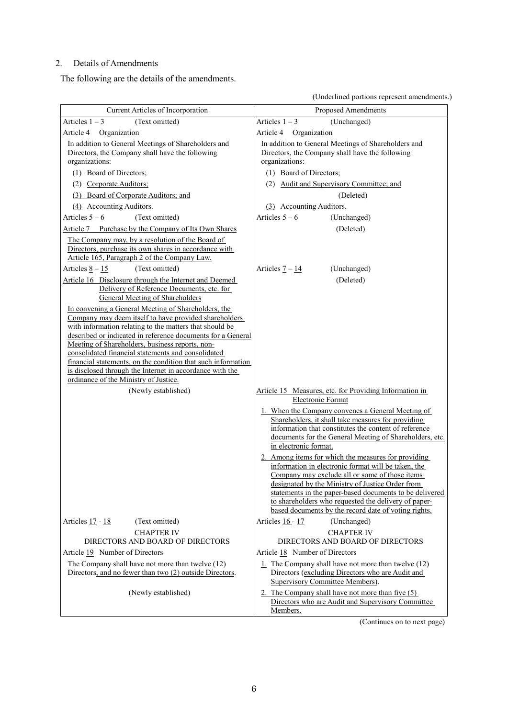# 2. Details of Amendments

The following are the details of the amendments.

(Underlined portions represent amendments.)

|                                                                                                                                                                                                                                                                                                                                                                                                                                                                                                                      | (Underlined portions represent amendments.)                                                                                                                                                                                                                                                                                                                                                 |
|----------------------------------------------------------------------------------------------------------------------------------------------------------------------------------------------------------------------------------------------------------------------------------------------------------------------------------------------------------------------------------------------------------------------------------------------------------------------------------------------------------------------|---------------------------------------------------------------------------------------------------------------------------------------------------------------------------------------------------------------------------------------------------------------------------------------------------------------------------------------------------------------------------------------------|
| Current Articles of Incorporation                                                                                                                                                                                                                                                                                                                                                                                                                                                                                    | Proposed Amendments                                                                                                                                                                                                                                                                                                                                                                         |
| Articles $1 - 3$<br>(Text omitted)                                                                                                                                                                                                                                                                                                                                                                                                                                                                                   | Articles $1 - 3$<br>(Unchanged)                                                                                                                                                                                                                                                                                                                                                             |
| Article 4<br>Organization                                                                                                                                                                                                                                                                                                                                                                                                                                                                                            | Article 4<br>Organization                                                                                                                                                                                                                                                                                                                                                                   |
| In addition to General Meetings of Shareholders and<br>Directors, the Company shall have the following<br>organizations:                                                                                                                                                                                                                                                                                                                                                                                             | In addition to General Meetings of Shareholders and<br>Directors, the Company shall have the following<br>organizations:                                                                                                                                                                                                                                                                    |
| (1) Board of Directors;                                                                                                                                                                                                                                                                                                                                                                                                                                                                                              | (1) Board of Directors;                                                                                                                                                                                                                                                                                                                                                                     |
| (2) Corporate Auditors;                                                                                                                                                                                                                                                                                                                                                                                                                                                                                              | (2) Audit and Supervisory Committee; and                                                                                                                                                                                                                                                                                                                                                    |
| (3) Board of Corporate Auditors; and                                                                                                                                                                                                                                                                                                                                                                                                                                                                                 | (Deleted)                                                                                                                                                                                                                                                                                                                                                                                   |
| (4) Accounting Auditors.                                                                                                                                                                                                                                                                                                                                                                                                                                                                                             | (3) Accounting Auditors.                                                                                                                                                                                                                                                                                                                                                                    |
| Articles $5 - 6$<br>(Text omitted)                                                                                                                                                                                                                                                                                                                                                                                                                                                                                   | Articles $5 - 6$<br>(Unchanged)                                                                                                                                                                                                                                                                                                                                                             |
| Article 7 Purchase by the Company of Its Own Shares                                                                                                                                                                                                                                                                                                                                                                                                                                                                  | (Deleted)                                                                                                                                                                                                                                                                                                                                                                                   |
| The Company may, by a resolution of the Board of<br>Directors, purchase its own shares in accordance with<br>Article 165, Paragraph 2 of the Company Law.                                                                                                                                                                                                                                                                                                                                                            |                                                                                                                                                                                                                                                                                                                                                                                             |
| Articles $8 - 15$<br>(Text omitted)                                                                                                                                                                                                                                                                                                                                                                                                                                                                                  | Articles $\frac{7-14}{1}$<br>(Unchanged)                                                                                                                                                                                                                                                                                                                                                    |
| Article 16 Disclosure through the Internet and Deemed<br>Delivery of Reference Documents, etc. for<br>General Meeting of Shareholders                                                                                                                                                                                                                                                                                                                                                                                | (Deleted)                                                                                                                                                                                                                                                                                                                                                                                   |
| In convening a General Meeting of Shareholders, the<br>Company may deem itself to have provided shareholders<br>with information relating to the matters that should be<br>described or indicated in reference documents for a General<br>Meeting of Shareholders, business reports, non-<br>consolidated financial statements and consolidated<br>financial statements, on the condition that such information<br>is disclosed through the Internet in accordance with the<br>ordinance of the Ministry of Justice. |                                                                                                                                                                                                                                                                                                                                                                                             |
| (Newly established)                                                                                                                                                                                                                                                                                                                                                                                                                                                                                                  | Article 15 Measures, etc. for Providing Information in<br>Electronic Format                                                                                                                                                                                                                                                                                                                 |
|                                                                                                                                                                                                                                                                                                                                                                                                                                                                                                                      | 1. When the Company convenes a General Meeting of<br>Shareholders, it shall take measures for providing<br>information that constitutes the content of reference<br>documents for the General Meeting of Shareholders, etc.<br>in electronic format.                                                                                                                                        |
|                                                                                                                                                                                                                                                                                                                                                                                                                                                                                                                      | 2. Among items for which the measures for providing<br>information in electronic format will be taken, the<br>Company may exclude all or some of those items<br>designated by the Ministry of Justice Order from<br>statements in the paper-based documents to be delivered<br>to shareholders who requested the delivery of paper-<br>based documents by the record date of voting rights. |
| Articles 17 - 18<br>(Text omitted)                                                                                                                                                                                                                                                                                                                                                                                                                                                                                   | (Unchanged)<br>Articles 16 - 17                                                                                                                                                                                                                                                                                                                                                             |
| <b>CHAPTER IV</b><br>DIRECTORS AND BOARD OF DIRECTORS                                                                                                                                                                                                                                                                                                                                                                                                                                                                | <b>CHAPTER IV</b><br>DIRECTORS AND BOARD OF DIRECTORS                                                                                                                                                                                                                                                                                                                                       |
| Article 19 Number of Directors                                                                                                                                                                                                                                                                                                                                                                                                                                                                                       | Article 18 Number of Directors                                                                                                                                                                                                                                                                                                                                                              |
| The Company shall have not more than twelve (12)<br>Directors, and no fewer than two (2) outside Directors.                                                                                                                                                                                                                                                                                                                                                                                                          | $1.$ The Company shall have not more than twelve (12)<br>Directors (excluding Directors who are Audit and<br>Supervisory Committee Members).                                                                                                                                                                                                                                                |
| (Newly established)                                                                                                                                                                                                                                                                                                                                                                                                                                                                                                  | 2. The Company shall have not more than five (5)<br>Directors who are Audit and Supervisory Committee<br>Members.                                                                                                                                                                                                                                                                           |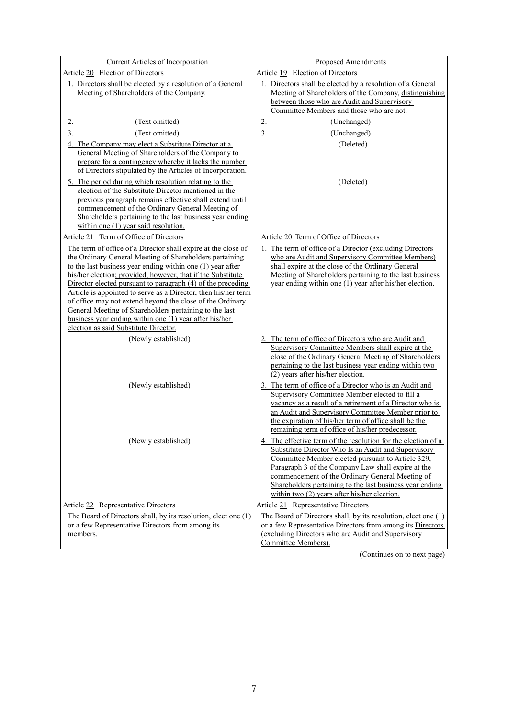| Current Articles of Incorporation                                                                                                                                                                                                                                                                                                                                                                                                                                                                                                                                                                                | Proposed Amendments                                                                                                                                                                                                                                                                                                                                                                                                                                                                                                                                   |
|------------------------------------------------------------------------------------------------------------------------------------------------------------------------------------------------------------------------------------------------------------------------------------------------------------------------------------------------------------------------------------------------------------------------------------------------------------------------------------------------------------------------------------------------------------------------------------------------------------------|-------------------------------------------------------------------------------------------------------------------------------------------------------------------------------------------------------------------------------------------------------------------------------------------------------------------------------------------------------------------------------------------------------------------------------------------------------------------------------------------------------------------------------------------------------|
| Article 20 Election of Directors                                                                                                                                                                                                                                                                                                                                                                                                                                                                                                                                                                                 | Article 19 Election of Directors                                                                                                                                                                                                                                                                                                                                                                                                                                                                                                                      |
| 1. Directors shall be elected by a resolution of a General<br>Meeting of Shareholders of the Company.                                                                                                                                                                                                                                                                                                                                                                                                                                                                                                            | 1. Directors shall be elected by a resolution of a General<br>Meeting of Shareholders of the Company, distinguishing<br>between those who are Audit and Supervisory<br>Committee Members and those who are not.                                                                                                                                                                                                                                                                                                                                       |
| 2.<br>(Text omitted)                                                                                                                                                                                                                                                                                                                                                                                                                                                                                                                                                                                             | (Unchanged)<br>2.                                                                                                                                                                                                                                                                                                                                                                                                                                                                                                                                     |
| 3.<br>(Text omitted)                                                                                                                                                                                                                                                                                                                                                                                                                                                                                                                                                                                             | 3.<br>(Unchanged)                                                                                                                                                                                                                                                                                                                                                                                                                                                                                                                                     |
| The Company may elect a Substitute Director at a<br>4.<br>General Meeting of Shareholders of the Company to<br>prepare for a contingency whereby it lacks the number<br>of Directors stipulated by the Articles of Incorporation.                                                                                                                                                                                                                                                                                                                                                                                | (Deleted)                                                                                                                                                                                                                                                                                                                                                                                                                                                                                                                                             |
| 5. The period during which resolution relating to the<br>election of the Substitute Director mentioned in the<br>previous paragraph remains effective shall extend until<br>commencement of the Ordinary General Meeting of<br>Shareholders pertaining to the last business year ending<br>within one (1) year said resolution.                                                                                                                                                                                                                                                                                  | (Deleted)                                                                                                                                                                                                                                                                                                                                                                                                                                                                                                                                             |
| Article 21 Term of Office of Directors                                                                                                                                                                                                                                                                                                                                                                                                                                                                                                                                                                           | Article 20 Term of Office of Directors                                                                                                                                                                                                                                                                                                                                                                                                                                                                                                                |
| The term of office of a Director shall expire at the close of<br>the Ordinary General Meeting of Shareholders pertaining<br>to the last business year ending within one (1) year after<br>his/her election; provided, however, that if the Substitute<br>Director elected pursuant to paragraph (4) of the preceding<br>Article is appointed to serve as a Director, then his/her term<br>of office may not extend beyond the close of the Ordinary<br>General Meeting of Shareholders pertaining to the last<br>business year ending within one (1) year after his/her<br>election as said Substitute Director. | 1. The term of office of a Director (excluding Directors<br>who are Audit and Supervisory Committee Members)<br>shall expire at the close of the Ordinary General<br>Meeting of Shareholders pertaining to the last business<br>year ending within one (1) year after his/her election.                                                                                                                                                                                                                                                               |
| (Newly established)                                                                                                                                                                                                                                                                                                                                                                                                                                                                                                                                                                                              | 2. The term of office of Directors who are Audit and                                                                                                                                                                                                                                                                                                                                                                                                                                                                                                  |
| (Newly established)                                                                                                                                                                                                                                                                                                                                                                                                                                                                                                                                                                                              | Supervisory Committee Members shall expire at the<br>close of the Ordinary General Meeting of Shareholders<br>pertaining to the last business year ending within two<br>(2) years after his/her election.<br>3. The term of office of a Director who is an Audit and<br>Supervisory Committee Member elected to fill a<br>vacancy as a result of a retirement of a Director who is<br>an Audit and Supervisory Committee Member prior to<br>the expiration of his/her term of office shall be the<br>remaining term of office of his/her predecessor. |
| (Newly established)                                                                                                                                                                                                                                                                                                                                                                                                                                                                                                                                                                                              | 4. The effective term of the resolution for the election of a<br>Substitute Director Who Is an Audit and Supervisory<br>Committee Member elected pursuant to Article 329,<br>Paragraph 3 of the Company Law shall expire at the<br>commencement of the Ordinary General Meeting of<br>Shareholders pertaining to the last business year ending<br>within two $(2)$ years after his/her election.                                                                                                                                                      |
| Article 22 Representative Directors                                                                                                                                                                                                                                                                                                                                                                                                                                                                                                                                                                              | Article 21 Representative Directors                                                                                                                                                                                                                                                                                                                                                                                                                                                                                                                   |
| The Board of Directors shall, by its resolution, elect one (1)<br>or a few Representative Directors from among its<br>members.                                                                                                                                                                                                                                                                                                                                                                                                                                                                                   | The Board of Directors shall, by its resolution, elect one (1)<br>or a few Representative Directors from among its Directors<br>(excluding Directors who are Audit and Supervisory<br>Committee Members).                                                                                                                                                                                                                                                                                                                                             |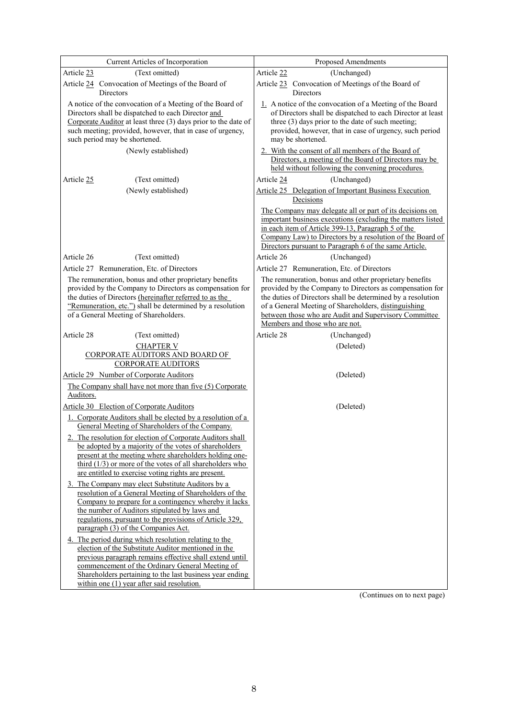| Current Articles of Incorporation                                                                                                                                                                                                                                                                     | Proposed Amendments                                                                                                                                                                                                                                                                                                                  |
|-------------------------------------------------------------------------------------------------------------------------------------------------------------------------------------------------------------------------------------------------------------------------------------------------------|--------------------------------------------------------------------------------------------------------------------------------------------------------------------------------------------------------------------------------------------------------------------------------------------------------------------------------------|
| (Text omitted)<br>Article 23                                                                                                                                                                                                                                                                          | (Unchanged)<br>Article 22                                                                                                                                                                                                                                                                                                            |
| Article 24 Convocation of Meetings of the Board of<br>Directors                                                                                                                                                                                                                                       | Article 23 Convocation of Meetings of the Board of<br>Directors                                                                                                                                                                                                                                                                      |
| A notice of the convocation of a Meeting of the Board of<br>Directors shall be dispatched to each Director and<br>Corporate Auditor at least three (3) days prior to the date of<br>such meeting; provided, however, that in case of urgency,<br>such period may be shortened.<br>(Newly established) | 1. A notice of the convocation of a Meeting of the Board<br>of Directors shall be dispatched to each Director at least<br>three (3) days prior to the date of such meeting;<br>provided, however, that in case of urgency, such period<br>may be shortened.<br>2. With the consent of all members of the Board of                    |
|                                                                                                                                                                                                                                                                                                       | Directors, a meeting of the Board of Directors may be<br>held without following the convening procedures.                                                                                                                                                                                                                            |
| Article 25<br>(Text omitted)<br>(Newly established)                                                                                                                                                                                                                                                   | (Unchanged)<br>Article 24<br>Article 25 Delegation of Important Business Execution<br>Decisions                                                                                                                                                                                                                                      |
|                                                                                                                                                                                                                                                                                                       | The Company may delegate all or part of its decisions on<br>important business executions (excluding the matters listed<br>in each item of Article 399-13, Paragraph 5 of the<br>Company Law) to Directors by a resolution of the Board of<br>Directors pursuant to Paragraph 6 of the same Article.                                 |
| Article 26<br>(Text omitted)                                                                                                                                                                                                                                                                          | (Unchanged)<br>Article 26                                                                                                                                                                                                                                                                                                            |
| Article 27 Remuneration, Etc. of Directors                                                                                                                                                                                                                                                            | Article 27 Remuneration, Etc. of Directors                                                                                                                                                                                                                                                                                           |
| The remuneration, bonus and other proprietary benefits<br>provided by the Company to Directors as compensation for<br>the duties of Directors (hereinafter referred to as the<br>"Remuneration, etc.") shall be determined by a resolution<br>of a General Meeting of Shareholders.                   | The remuneration, bonus and other proprietary benefits<br>provided by the Company to Directors as compensation for<br>the duties of Directors shall be determined by a resolution<br>of a General Meeting of Shareholders, distinguishing<br>between those who are Audit and Supervisory Committee<br>Members and those who are not. |
| Article 28<br>(Text omitted)                                                                                                                                                                                                                                                                          | Article 28<br>(Unchanged)                                                                                                                                                                                                                                                                                                            |
| <b>CHAPTER V</b><br>CORPORATE AUDITORS AND BOARD OF<br><b>CORPORATE AUDITORS</b>                                                                                                                                                                                                                      | (Deleted)                                                                                                                                                                                                                                                                                                                            |
| Article 29 Number of Corporate Auditors                                                                                                                                                                                                                                                               | (Deleted)                                                                                                                                                                                                                                                                                                                            |
| The Company shall have not more than five (5) Corporate<br>Auditors.                                                                                                                                                                                                                                  |                                                                                                                                                                                                                                                                                                                                      |
| Article 30 Election of Corporate Auditors                                                                                                                                                                                                                                                             | (Deleted)                                                                                                                                                                                                                                                                                                                            |
| 1. Corporate Auditors shall be elected by a resolution of a<br>General Meeting of Shareholders of the Company.                                                                                                                                                                                        |                                                                                                                                                                                                                                                                                                                                      |
| 2. The resolution for election of Corporate Auditors shall<br>be adopted by a majority of the votes of shareholders                                                                                                                                                                                   |                                                                                                                                                                                                                                                                                                                                      |
| present at the meeting where shareholders holding one-<br>$third (1/3)$ or more of the votes of all shareholders who<br>are entitled to exercise voting rights are present.                                                                                                                           |                                                                                                                                                                                                                                                                                                                                      |
| 3. The Company may elect Substitute Auditors by a<br>resolution of a General Meeting of Shareholders of the                                                                                                                                                                                           |                                                                                                                                                                                                                                                                                                                                      |
| Company to prepare for a contingency whereby it lacks                                                                                                                                                                                                                                                 |                                                                                                                                                                                                                                                                                                                                      |
| the number of Auditors stipulated by laws and<br>regulations, pursuant to the provisions of Article 329,<br>paragraph (3) of the Companies Act.                                                                                                                                                       |                                                                                                                                                                                                                                                                                                                                      |
| 4. The period during which resolution relating to the                                                                                                                                                                                                                                                 |                                                                                                                                                                                                                                                                                                                                      |
| election of the Substitute Auditor mentioned in the<br>previous paragraph remains effective shall extend until                                                                                                                                                                                        |                                                                                                                                                                                                                                                                                                                                      |
| commencement of the Ordinary General Meeting of<br>Shareholders pertaining to the last business year ending<br>within one (1) year after said resolution.                                                                                                                                             |                                                                                                                                                                                                                                                                                                                                      |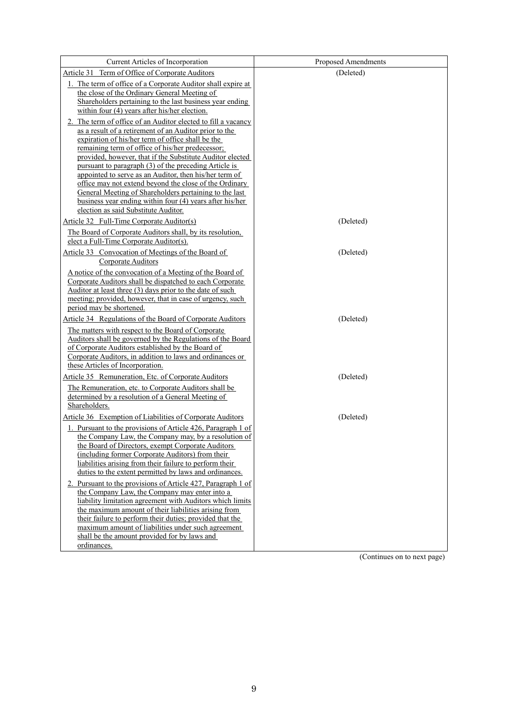| Current Articles of Incorporation                                                                                                                                                                                                                                                                                                                                                                                                                                                                             | <b>Proposed Amendments</b> |
|---------------------------------------------------------------------------------------------------------------------------------------------------------------------------------------------------------------------------------------------------------------------------------------------------------------------------------------------------------------------------------------------------------------------------------------------------------------------------------------------------------------|----------------------------|
| Article 31 Term of Office of Corporate Auditors                                                                                                                                                                                                                                                                                                                                                                                                                                                               | (Deleted)                  |
| 1. The term of office of a Corporate Auditor shall expire at<br>the close of the Ordinary General Meeting of<br>Shareholders pertaining to the last business year ending<br>within four (4) years after his/her election.<br>2. The term of office of an Auditor elected to fill a vacancy<br>as a result of a retirement of an Auditor prior to the                                                                                                                                                          |                            |
| expiration of his/her term of office shall be the<br>remaining term of office of his/her predecessor;<br>provided, however, that if the Substitute Auditor elected<br>pursuant to paragraph (3) of the preceding Article is<br>appointed to serve as an Auditor, then his/her term of<br>office may not extend beyond the close of the Ordinary<br>General Meeting of Shareholders pertaining to the last<br>business year ending within four (4) years after his/her<br>election as said Substitute Auditor. |                            |
| Article 32 Full-Time Corporate Auditor(s)                                                                                                                                                                                                                                                                                                                                                                                                                                                                     | (Deleted)                  |
| The Board of Corporate Auditors shall, by its resolution,<br>elect a Full-Time Corporate Auditor(s).                                                                                                                                                                                                                                                                                                                                                                                                          |                            |
| Article 33 Convocation of Meetings of the Board of<br>Corporate Auditors                                                                                                                                                                                                                                                                                                                                                                                                                                      | (Deleted)                  |
| A notice of the convocation of a Meeting of the Board of<br>Corporate Auditors shall be dispatched to each Corporate<br>Auditor at least three (3) days prior to the date of such<br>meeting; provided, however, that in case of urgency, such<br>period may be shortened.                                                                                                                                                                                                                                    |                            |
| Article 34 Regulations of the Board of Corporate Auditors                                                                                                                                                                                                                                                                                                                                                                                                                                                     | (Deleted)                  |
| The matters with respect to the Board of Corporate<br>Auditors shall be governed by the Regulations of the Board<br>of Corporate Auditors established by the Board of<br>Corporate Auditors, in addition to laws and ordinances or<br>these Articles of Incorporation.                                                                                                                                                                                                                                        |                            |
| Article 35 Remuneration, Etc. of Corporate Auditors                                                                                                                                                                                                                                                                                                                                                                                                                                                           | (Deleted)                  |
| The Remuneration, etc. to Corporate Auditors shall be<br>determined by a resolution of a General Meeting of<br>Shareholders.                                                                                                                                                                                                                                                                                                                                                                                  |                            |
| Article 36 Exemption of Liabilities of Corporate Auditors                                                                                                                                                                                                                                                                                                                                                                                                                                                     | (Deleted)                  |
| 1. Pursuant to the provisions of Article 426, Paragraph 1 of<br>the Company Law, the Company may, by a resolution of<br>the Board of Directors, exempt Corporate Auditors<br>(including former Corporate Auditors) from their<br>liabilities arising from their failure to perform their<br>duties to the extent permitted by laws and ordinances.                                                                                                                                                            |                            |
| 2. Pursuant to the provisions of Article 427, Paragraph 1 of<br>the Company Law, the Company may enter into a<br>liability limitation agreement with Auditors which limits<br>the maximum amount of their liabilities arising from<br>their failure to perform their duties; provided that the<br>maximum amount of liabilities under such agreement                                                                                                                                                          |                            |
| shall be the amount provided for by laws and                                                                                                                                                                                                                                                                                                                                                                                                                                                                  |                            |
| ordinances.                                                                                                                                                                                                                                                                                                                                                                                                                                                                                                   |                            |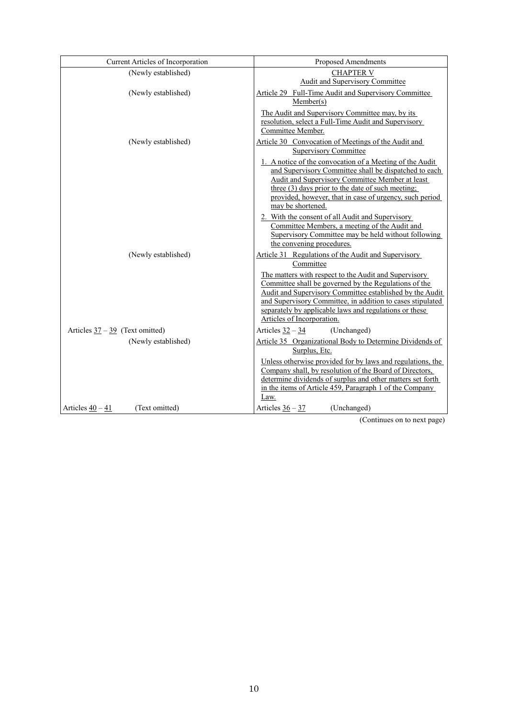| Current Articles of Incorporation            | Proposed Amendments                                                                                                                                                                                                                                                                                                              |
|----------------------------------------------|----------------------------------------------------------------------------------------------------------------------------------------------------------------------------------------------------------------------------------------------------------------------------------------------------------------------------------|
| (Newly established)                          | <b>CHAPTER V</b><br>Audit and Supervisory Committee                                                                                                                                                                                                                                                                              |
| (Newly established)                          | Article 29 Full-Time Audit and Supervisory Committee<br>Member(s)                                                                                                                                                                                                                                                                |
|                                              | The Audit and Supervisory Committee may, by its<br>resolution, select a Full-Time Audit and Supervisory<br>Committee Member.                                                                                                                                                                                                     |
| (Newly established)                          | Article 30 Convocation of Meetings of the Audit and<br><b>Supervisory Committee</b>                                                                                                                                                                                                                                              |
|                                              | 1. A notice of the convocation of a Meeting of the Audit<br>and Supervisory Committee shall be dispatched to each<br>Audit and Supervisory Committee Member at least<br>three (3) days prior to the date of such meeting;<br>provided, however, that in case of urgency, such period<br>may be shortened.                        |
|                                              | 2. With the consent of all Audit and Supervisory<br>Committee Members, a meeting of the Audit and<br>Supervisory Committee may be held without following<br>the convening procedures.                                                                                                                                            |
| (Newly established)                          | Article 31 Regulations of the Audit and Supervisory<br>Committee                                                                                                                                                                                                                                                                 |
|                                              | The matters with respect to the Audit and Supervisory<br>Committee shall be governed by the Regulations of the<br>Audit and Supervisory Committee established by the Audit<br>and Supervisory Committee, in addition to cases stipulated<br>separately by applicable laws and regulations or these<br>Articles of Incorporation. |
| Articles $37 - 39$ (Text omitted)            | Articles $32 - 34$<br>(Unchanged)                                                                                                                                                                                                                                                                                                |
| (Newly established)                          | Article 35 Organizational Body to Determine Dividends of<br>Surplus, Etc.                                                                                                                                                                                                                                                        |
|                                              | Unless otherwise provided for by laws and regulations, the<br>Company shall, by resolution of the Board of Directors,<br>determine dividends of surplus and other matters set forth<br>in the items of Article 459, Paragraph 1 of the Company<br>Law.                                                                           |
| (Text omitted)<br>Articles $\frac{40-41}{5}$ | Articles $36 - 37$<br>(Unchanged)                                                                                                                                                                                                                                                                                                |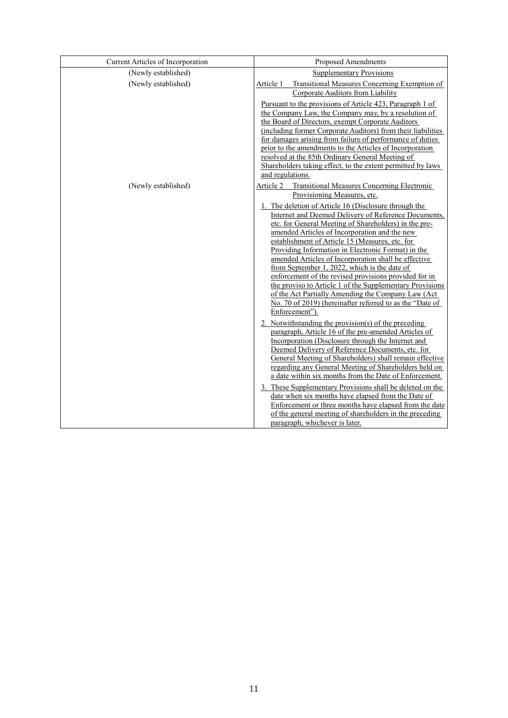| Current Articles of Incorporation | Proposed Amendments                                                                                             |
|-----------------------------------|-----------------------------------------------------------------------------------------------------------------|
| (Newly established)               | <b>Supplementary Provisions</b>                                                                                 |
| (Newly established)               | Transitional Measures Concerning Exemption of<br>Article 1                                                      |
|                                   | Corporate Auditors from Liability                                                                               |
|                                   | Pursuant to the provisions of Article 423, Paragraph 1 of                                                       |
|                                   | the Company Law, the Company may, by a resolution of<br>the Board of Directors, exempt Corporate Auditors       |
|                                   | (including former Corporate Auditors) from their liabilities                                                    |
|                                   | for damages arising from failure of performance of duties                                                       |
|                                   | prior to the amendments to the Articles of Incorporation                                                        |
|                                   | resolved at the 85th Ordinary General Meeting of<br>Shareholders taking effect, to the extent permitted by laws |
|                                   | and regulations.                                                                                                |
| (Newly established)               | Article 2<br><b>Transitional Measures Concerning Electronic</b>                                                 |
|                                   | Provisioning Measures, etc.                                                                                     |
|                                   | 1. The deletion of Article 16 (Disclosure through the                                                           |
|                                   | Internet and Deemed Delivery of Reference Documents,                                                            |
|                                   | etc. for General Meeting of Shareholders) in the pre-<br>amended Articles of Incorporation and the new          |
|                                   | establishment of Article 15 (Measures, etc. for                                                                 |
|                                   | Providing Information in Electronic Format) in the                                                              |
|                                   | amended Articles of Incorporation shall be effective                                                            |
|                                   | from September 1, 2022, which is the date of<br>enforcement of the revised provisions provided for in           |
|                                   | the proviso to Article 1 of the Supplementary Provisions                                                        |
|                                   | of the Act Partially Amending the Company Law (Act                                                              |
|                                   | No. 70 of 2019) (hereinafter referred to as the "Date of                                                        |
|                                   | Enforcement").                                                                                                  |
|                                   | 2. Notwithstanding the provision(s) of the preceding<br>paragraph, Article 16 of the pre-amended Articles of    |
|                                   | Incorporation (Disclosure through the Internet and                                                              |
|                                   | Deemed Delivery of Reference Documents, etc. for                                                                |
|                                   | General Meeting of Shareholders) shall remain effective                                                         |
|                                   | regarding any General Meeting of Shareholders held on<br>a date within six months from the Date of Enforcement. |
|                                   | 3. These Supplementary Provisions shall be deleted on the                                                       |
|                                   | date when six months have elapsed from the Date of                                                              |
|                                   | Enforcement or three months have elapsed from the date                                                          |
|                                   | of the general meeting of shareholders in the preceding                                                         |
|                                   | paragraph, whichever is later.                                                                                  |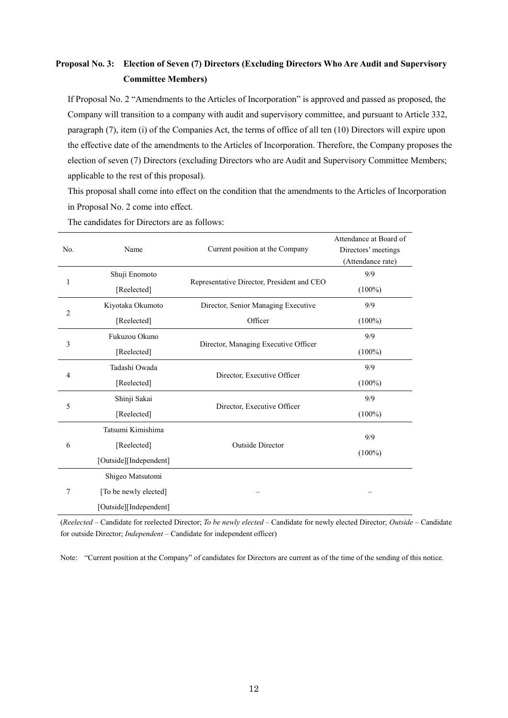# **Proposal No. 3: Election of Seven (7) Directors (Excluding Directors Who Are Audit and Supervisory Committee Members)**

If Proposal No. 2 "Amendments to the Articles of Incorporation" is approved and passed as proposed, the Company will transition to a company with audit and supervisory committee, and pursuant to Article 332, paragraph (7), item (i) of the Companies Act, the terms of office of all ten (10) Directors will expire upon the effective date of the amendments to the Articles of Incorporation. Therefore, the Company proposes the election of seven (7) Directors (excluding Directors who are Audit and Supervisory Committee Members; applicable to the rest of this proposal).

This proposal shall come into effect on the condition that the amendments to the Articles of Incorporation in Proposal No. 2 come into effect.

| No.            | Name                   | Current position at the Company            | Attendance at Board of<br>Directors' meetings<br>(Attendance rate) |
|----------------|------------------------|--------------------------------------------|--------------------------------------------------------------------|
|                | Shuji Enomoto          |                                            | 9/9                                                                |
| 1              | [Reelected]            | Representative Director, President and CEO | $(100\%)$                                                          |
| $\overline{2}$ | Kiyotaka Okumoto       | Director, Senior Managing Executive        | 9/9                                                                |
|                | [Reelected]            | Officer                                    | $(100\%)$                                                          |
|                | Fukuzou Okuno          |                                            | 9/9                                                                |
| 3              | [Reelected]            | Director, Managing Executive Officer       | $(100\%)$                                                          |
| Tadashi Owada  |                        |                                            | 9/9                                                                |
| 4              | [Reelected]            | Director, Executive Officer                | $(100\%)$                                                          |
| 5              | Shinji Sakai           | Director, Executive Officer                | 9/9                                                                |
|                | [Reelected]            |                                            | $(100\%)$                                                          |
|                | Tatsumi Kimishima      |                                            | 9/9                                                                |
| 6              | [Reelected]            | <b>Outside Director</b>                    |                                                                    |
|                | [Outside][Independent] |                                            | $(100\%)$                                                          |
|                | Shigeo Matsutomi       |                                            |                                                                    |
| 7              | [To be newly elected]  |                                            |                                                                    |
|                | [Outside][Independent] |                                            |                                                                    |

The candidates for Directors are as follows:

(*Reelected* – Candidate for reelected Director; *To be newly elected* – Candidate for newly elected Director; *Outside* – Candidate for outside Director; *Independent* – Candidate for independent officer)

Note: "Current position at the Company" of candidates for Directors are current as of the time of the sending of this notice.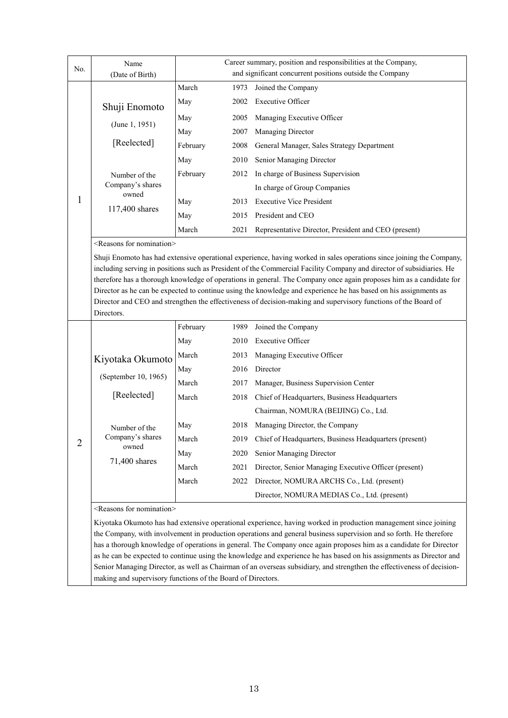| No.            | Name<br>(Date of Birth)                  |          |      | Career summary, position and responsibilities at the Company,<br>and significant concurrent positions outside the Company                                                                                                                                                                                                                                                                                                                                                                                                                                                                                     |
|----------------|------------------------------------------|----------|------|---------------------------------------------------------------------------------------------------------------------------------------------------------------------------------------------------------------------------------------------------------------------------------------------------------------------------------------------------------------------------------------------------------------------------------------------------------------------------------------------------------------------------------------------------------------------------------------------------------------|
|                |                                          | March    | 1973 | Joined the Company                                                                                                                                                                                                                                                                                                                                                                                                                                                                                                                                                                                            |
|                |                                          | May      | 2002 | <b>Executive Officer</b>                                                                                                                                                                                                                                                                                                                                                                                                                                                                                                                                                                                      |
|                | Shuji Enomoto                            | May      | 2005 | Managing Executive Officer                                                                                                                                                                                                                                                                                                                                                                                                                                                                                                                                                                                    |
|                | (June 1, 1951)                           | May      | 2007 | Managing Director                                                                                                                                                                                                                                                                                                                                                                                                                                                                                                                                                                                             |
|                | [Reelected]                              | February | 2008 | General Manager, Sales Strategy Department                                                                                                                                                                                                                                                                                                                                                                                                                                                                                                                                                                    |
|                |                                          | May      | 2010 | Senior Managing Director                                                                                                                                                                                                                                                                                                                                                                                                                                                                                                                                                                                      |
|                | Number of the                            | February | 2012 | In charge of Business Supervision                                                                                                                                                                                                                                                                                                                                                                                                                                                                                                                                                                             |
|                | Company's shares                         |          |      | In charge of Group Companies                                                                                                                                                                                                                                                                                                                                                                                                                                                                                                                                                                                  |
| 1              | owned                                    | May      | 2013 | <b>Executive Vice President</b>                                                                                                                                                                                                                                                                                                                                                                                                                                                                                                                                                                               |
|                | 117,400 shares                           | May      | 2015 | President and CEO                                                                                                                                                                                                                                                                                                                                                                                                                                                                                                                                                                                             |
|                |                                          | March    | 2021 | Representative Director, President and CEO (present)                                                                                                                                                                                                                                                                                                                                                                                                                                                                                                                                                          |
|                | <reasons for="" nomination=""></reasons> |          |      |                                                                                                                                                                                                                                                                                                                                                                                                                                                                                                                                                                                                               |
|                | Directors.                               |          |      | Shuji Enomoto has had extensive operational experience, having worked in sales operations since joining the Company,<br>including serving in positions such as President of the Commercial Facility Company and director of subsidiaries. He<br>therefore has a thorough knowledge of operations in general. The Company once again proposes him as a candidate for<br>Director as he can be expected to continue using the knowledge and experience he has based on his assignments as<br>Director and CEO and strengthen the effectiveness of decision-making and supervisory functions of the Board of     |
|                |                                          | February | 1989 | Joined the Company                                                                                                                                                                                                                                                                                                                                                                                                                                                                                                                                                                                            |
|                |                                          | May      | 2010 | <b>Executive Officer</b>                                                                                                                                                                                                                                                                                                                                                                                                                                                                                                                                                                                      |
|                | Kiyotaka Okumoto                         | March    | 2013 | Managing Executive Officer                                                                                                                                                                                                                                                                                                                                                                                                                                                                                                                                                                                    |
|                |                                          | May      | 2016 | Director                                                                                                                                                                                                                                                                                                                                                                                                                                                                                                                                                                                                      |
|                | (September 10, 1965)                     | March    | 2017 | Manager, Business Supervision Center                                                                                                                                                                                                                                                                                                                                                                                                                                                                                                                                                                          |
|                | [Reelected]                              | March    | 2018 | Chief of Headquarters, Business Headquarters                                                                                                                                                                                                                                                                                                                                                                                                                                                                                                                                                                  |
|                |                                          |          |      | Chairman, NOMURA (BEIJING) Co., Ltd.                                                                                                                                                                                                                                                                                                                                                                                                                                                                                                                                                                          |
|                | Number of the                            | May      | 2018 | Managing Director, the Company                                                                                                                                                                                                                                                                                                                                                                                                                                                                                                                                                                                |
| $\overline{2}$ | Company's shares<br>owned                | March    | 2019 | Chief of Headquarters, Business Headquarters (present)                                                                                                                                                                                                                                                                                                                                                                                                                                                                                                                                                        |
|                | 71,400 shares                            | May      | 2020 | Senior Managing Director                                                                                                                                                                                                                                                                                                                                                                                                                                                                                                                                                                                      |
|                |                                          | March    | 2021 | Director, Senior Managing Executive Officer (present)                                                                                                                                                                                                                                                                                                                                                                                                                                                                                                                                                         |
|                |                                          | March    | 2022 | Director, NOMURA ARCHS Co., Ltd. (present)                                                                                                                                                                                                                                                                                                                                                                                                                                                                                                                                                                    |
|                |                                          |          |      | Director, NOMURA MEDIAS Co., Ltd. (present)                                                                                                                                                                                                                                                                                                                                                                                                                                                                                                                                                                   |
|                | <reasons for="" nomination=""></reasons> |          |      |                                                                                                                                                                                                                                                                                                                                                                                                                                                                                                                                                                                                               |
|                |                                          |          |      | Kiyotaka Okumoto has had extensive operational experience, having worked in production management since joining<br>the Company, with involvement in production operations and general business supervision and so forth. He therefore<br>has a thorough knowledge of operations in general. The Company once again proposes him as a candidate for Director<br>as he can be expected to continue using the knowledge and experience he has based on his assignments as Director and<br>Senior Managing Director, as well as Chairman of an overseas subsidiary, and strengthen the effectiveness of decision- |

making and supervisory functions of the Board of Directors.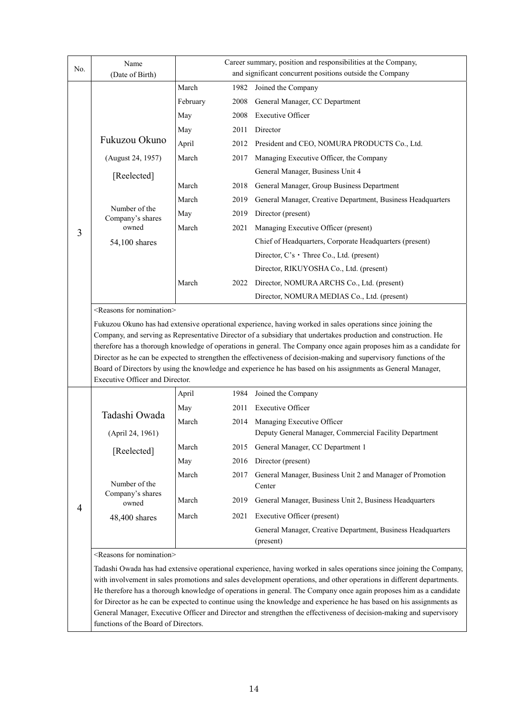| No. | Name                                     |          |      | Career summary, position and responsibilities at the Company,                                                                                                                                                                               |
|-----|------------------------------------------|----------|------|---------------------------------------------------------------------------------------------------------------------------------------------------------------------------------------------------------------------------------------------|
|     | (Date of Birth)                          |          |      | and significant concurrent positions outside the Company                                                                                                                                                                                    |
|     |                                          | March    | 1982 | Joined the Company                                                                                                                                                                                                                          |
|     |                                          | February | 2008 | General Manager, CC Department                                                                                                                                                                                                              |
|     |                                          | May      | 2008 | <b>Executive Officer</b>                                                                                                                                                                                                                    |
|     |                                          | May      | 2011 | Director                                                                                                                                                                                                                                    |
|     | Fukuzou Okuno                            | April    | 2012 | President and CEO, NOMURA PRODUCTS Co., Ltd.                                                                                                                                                                                                |
|     | (August 24, 1957)                        | March    | 2017 | Managing Executive Officer, the Company                                                                                                                                                                                                     |
|     | [Reelected]                              |          |      | General Manager, Business Unit 4                                                                                                                                                                                                            |
|     |                                          | March    | 2018 | General Manager, Group Business Department                                                                                                                                                                                                  |
|     |                                          | March    | 2019 | General Manager, Creative Department, Business Headquarters                                                                                                                                                                                 |
|     | Number of the<br>Company's shares        | May      | 2019 | Director (present)                                                                                                                                                                                                                          |
| 3   | owned                                    | March    | 2021 | Managing Executive Officer (present)                                                                                                                                                                                                        |
|     | 54,100 shares                            |          |      | Chief of Headquarters, Corporate Headquarters (present)                                                                                                                                                                                     |
|     |                                          |          |      | Director, C's · Three Co., Ltd. (present)                                                                                                                                                                                                   |
|     |                                          |          |      | Director, RIKUYOSHA Co., Ltd. (present)                                                                                                                                                                                                     |
|     |                                          | March    | 2022 | Director, NOMURA ARCHS Co., Ltd. (present)                                                                                                                                                                                                  |
|     |                                          |          |      | Director, NOMURA MEDIAS Co., Ltd. (present)                                                                                                                                                                                                 |
|     | <reasons for="" nomination=""></reasons> |          |      |                                                                                                                                                                                                                                             |
|     |                                          |          |      | Fukuzou Okuno has had extensive operational experience, having worked in sales operations since joining the                                                                                                                                 |
|     |                                          |          |      | Company, and serving as Representative Director of a subsidiary that undertakes production and construction. He                                                                                                                             |
|     |                                          |          |      |                                                                                                                                                                                                                                             |
|     |                                          |          |      | therefore has a thorough knowledge of operations in general. The Company once again proposes him as a candidate for                                                                                                                         |
|     |                                          |          |      | Director as he can be expected to strengthen the effectiveness of decision-making and supervisory functions of the                                                                                                                          |
|     |                                          |          |      | Board of Directors by using the knowledge and experience he has based on his assignments as General Manager,                                                                                                                                |
|     | Executive Officer and Director.          |          |      |                                                                                                                                                                                                                                             |
|     |                                          | April    | 1984 | Joined the Company                                                                                                                                                                                                                          |
|     |                                          | May      | 2011 | <b>Executive Officer</b>                                                                                                                                                                                                                    |
|     | Tadashi Owada                            | March    | 2014 | Managing Executive Officer                                                                                                                                                                                                                  |
|     | (April 24, 1961)                         |          |      | Deputy General Manager, Commercial Facility Department                                                                                                                                                                                      |
|     | [Reelected]                              | March    | 2015 | General Manager, CC Department 1                                                                                                                                                                                                            |
|     |                                          | May      | 2016 | Director (present)                                                                                                                                                                                                                          |
|     |                                          | March    | 2017 | General Manager, Business Unit 2 and Manager of Promotion                                                                                                                                                                                   |
|     | Number of the                            |          |      | Center                                                                                                                                                                                                                                      |
|     | Company's shares<br>owned                | March    | 2019 | General Manager, Business Unit 2, Business Headquarters                                                                                                                                                                                     |
| 4   | 48,400 shares                            | March    | 2021 | Executive Officer (present)                                                                                                                                                                                                                 |
|     |                                          |          |      | General Manager, Creative Department, Business Headquarters                                                                                                                                                                                 |
|     |                                          |          |      | (present)                                                                                                                                                                                                                                   |
|     | <reasons for="" nomination=""></reasons> |          |      |                                                                                                                                                                                                                                             |
|     |                                          |          |      | Tadashi Owada has had extensive operational experience, having worked in sales operations since joining the Company,                                                                                                                        |
|     |                                          |          |      | with involvement in sales promotions and sales development operations, and other operations in different departments.                                                                                                                       |
|     |                                          |          |      | He therefore has a thorough knowledge of operations in general. The Company once again proposes him as a candidate                                                                                                                          |
|     |                                          |          |      | for Director as he can be expected to continue using the knowledge and experience he has based on his assignments as<br>General Manager, Executive Officer and Director and strengthen the effectiveness of decision-making and supervisory |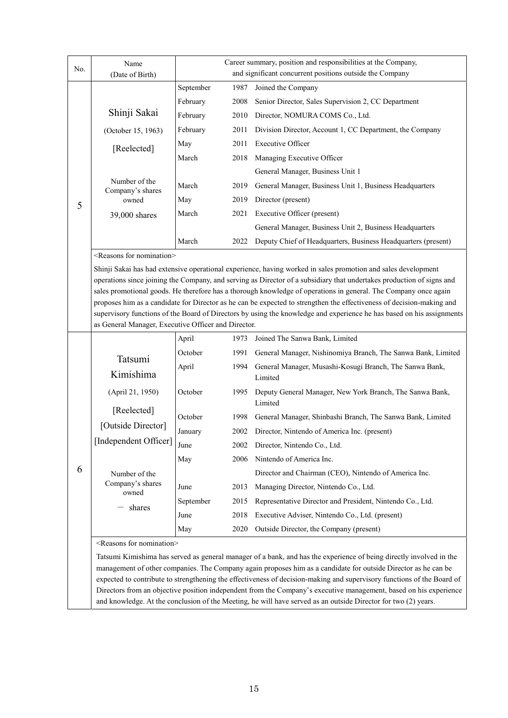| No. | Name                                     |                                                                                                                                                                              |      | Career summary, position and responsibilities at the Company,                                                                                                                                                                       |  |  |  |  |  |
|-----|------------------------------------------|------------------------------------------------------------------------------------------------------------------------------------------------------------------------------|------|-------------------------------------------------------------------------------------------------------------------------------------------------------------------------------------------------------------------------------------|--|--|--|--|--|
|     | (Date of Birth)                          |                                                                                                                                                                              |      | and significant concurrent positions outside the Company                                                                                                                                                                            |  |  |  |  |  |
|     |                                          | September                                                                                                                                                                    | 1987 | Joined the Company                                                                                                                                                                                                                  |  |  |  |  |  |
|     |                                          | February                                                                                                                                                                     | 2008 | Senior Director, Sales Supervision 2, CC Department                                                                                                                                                                                 |  |  |  |  |  |
|     | Shinji Sakai                             | February                                                                                                                                                                     | 2010 | Director, NOMURA COMS Co., Ltd.                                                                                                                                                                                                     |  |  |  |  |  |
|     | (October 15, 1963)                       | February                                                                                                                                                                     | 2011 | Division Director, Account 1, CC Department, the Company                                                                                                                                                                            |  |  |  |  |  |
|     | [Reelected]                              | May                                                                                                                                                                          | 2011 | <b>Executive Officer</b>                                                                                                                                                                                                            |  |  |  |  |  |
|     |                                          | March                                                                                                                                                                        | 2018 | Managing Executive Officer                                                                                                                                                                                                          |  |  |  |  |  |
|     |                                          |                                                                                                                                                                              |      | General Manager, Business Unit 1                                                                                                                                                                                                    |  |  |  |  |  |
|     | Number of the<br>Company's shares        | March                                                                                                                                                                        | 2019 | General Manager, Business Unit 1, Business Headquarters                                                                                                                                                                             |  |  |  |  |  |
| 5   | owned                                    | May                                                                                                                                                                          | 2019 | Director (present)                                                                                                                                                                                                                  |  |  |  |  |  |
|     | 39,000 shares                            | March                                                                                                                                                                        | 2021 | Executive Officer (present)                                                                                                                                                                                                         |  |  |  |  |  |
|     |                                          |                                                                                                                                                                              |      | General Manager, Business Unit 2, Business Headquarters                                                                                                                                                                             |  |  |  |  |  |
|     |                                          | March                                                                                                                                                                        | 2022 | Deputy Chief of Headquarters, Business Headquarters (present)                                                                                                                                                                       |  |  |  |  |  |
|     | <reasons for="" nomination=""></reasons> |                                                                                                                                                                              |      |                                                                                                                                                                                                                                     |  |  |  |  |  |
|     |                                          |                                                                                                                                                                              |      | Shinji Sakai has had extensive operational experience, having worked in sales promotion and sales development                                                                                                                       |  |  |  |  |  |
|     |                                          |                                                                                                                                                                              |      | operations since joining the Company, and serving as Director of a subsidiary that undertakes production of signs and                                                                                                               |  |  |  |  |  |
|     |                                          |                                                                                                                                                                              |      | sales promotional goods. He therefore has a thorough knowledge of operations in general. The Company once again                                                                                                                     |  |  |  |  |  |
|     |                                          |                                                                                                                                                                              |      | proposes him as a candidate for Director as he can be expected to strengthen the effectiveness of decision-making and                                                                                                               |  |  |  |  |  |
|     |                                          | supervisory functions of the Board of Directors by using the knowledge and experience he has based on his assignments<br>as General Manager, Executive Officer and Director. |      |                                                                                                                                                                                                                                     |  |  |  |  |  |
|     |                                          | April                                                                                                                                                                        | 1973 | Joined The Sanwa Bank, Limited                                                                                                                                                                                                      |  |  |  |  |  |
|     |                                          | October                                                                                                                                                                      | 1991 | General Manager, Nishinomiya Branch, The Sanwa Bank, Limited                                                                                                                                                                        |  |  |  |  |  |
|     | Tatsumi                                  | April                                                                                                                                                                        | 1994 | General Manager, Musashi-Kosugi Branch, The Sanwa Bank,                                                                                                                                                                             |  |  |  |  |  |
|     | Kimishima                                |                                                                                                                                                                              |      | Limited                                                                                                                                                                                                                             |  |  |  |  |  |
|     | (April 21, 1950)                         | October                                                                                                                                                                      | 1995 | Deputy General Manager, New York Branch, The Sanwa Bank,                                                                                                                                                                            |  |  |  |  |  |
|     | [Reelected]                              |                                                                                                                                                                              |      | Limited                                                                                                                                                                                                                             |  |  |  |  |  |
|     | [Outside Director]                       | October                                                                                                                                                                      | 1998 | General Manager, Shinbashi Branch, The Sanwa Bank, Limited                                                                                                                                                                          |  |  |  |  |  |
|     |                                          | January                                                                                                                                                                      | 2002 | Director, Nintendo of America Inc. (present)                                                                                                                                                                                        |  |  |  |  |  |
|     | [Independent Officer]                    | June                                                                                                                                                                         | 2002 | Director, Nintendo Co., Ltd.                                                                                                                                                                                                        |  |  |  |  |  |
|     |                                          | May                                                                                                                                                                          | 2006 | Nintendo of America Inc.                                                                                                                                                                                                            |  |  |  |  |  |
| 6   | Number of the                            |                                                                                                                                                                              |      | Director and Chairman (CEO), Nintendo of America Inc.                                                                                                                                                                               |  |  |  |  |  |
|     | Company's shares<br>owned                | June                                                                                                                                                                         | 2013 | Managing Director, Nintendo Co., Ltd.                                                                                                                                                                                               |  |  |  |  |  |
|     |                                          | September                                                                                                                                                                    | 2015 | Representative Director and President, Nintendo Co., Ltd.                                                                                                                                                                           |  |  |  |  |  |
|     | shares                                   | June                                                                                                                                                                         | 2018 | Executive Adviser, Nintendo Co., Ltd. (present)                                                                                                                                                                                     |  |  |  |  |  |
|     |                                          | May                                                                                                                                                                          | 2020 | Outside Director, the Company (present)                                                                                                                                                                                             |  |  |  |  |  |
|     | <reasons for="" nomination=""></reasons> |                                                                                                                                                                              |      |                                                                                                                                                                                                                                     |  |  |  |  |  |
|     |                                          |                                                                                                                                                                              |      | Tatsumi Kimishima has served as general manager of a bank, and has the experience of being directly involved in the                                                                                                                 |  |  |  |  |  |
|     |                                          |                                                                                                                                                                              |      | management of other companies. The Company again proposes him as a candidate for outside Director as he can be                                                                                                                      |  |  |  |  |  |
|     |                                          |                                                                                                                                                                              |      | expected to contribute to strengthening the effectiveness of decision-making and supervisory functions of the Board of                                                                                                              |  |  |  |  |  |
|     |                                          |                                                                                                                                                                              |      | Directors from an objective position independent from the Company's executive management, based on his experience<br>and knowledge. At the conclusion of the Meeting, he will have served as an outside Director for two (2) years. |  |  |  |  |  |
|     |                                          |                                                                                                                                                                              |      |                                                                                                                                                                                                                                     |  |  |  |  |  |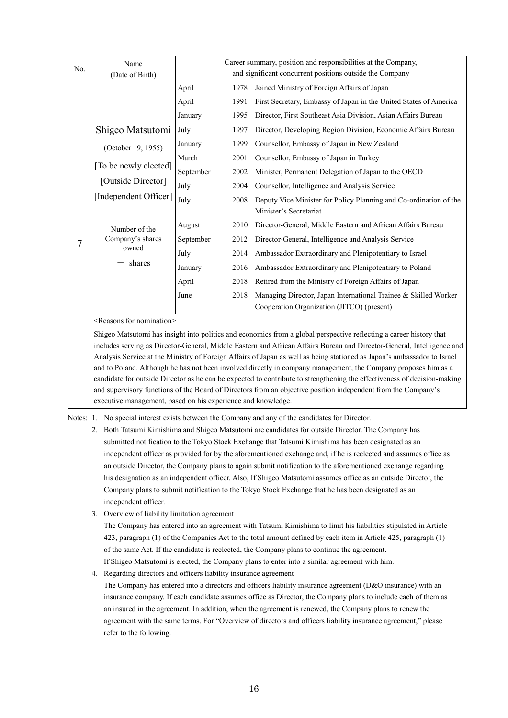| No. | Name                                        |           |      | Career summary, position and responsibilities at the Company,     |
|-----|---------------------------------------------|-----------|------|-------------------------------------------------------------------|
|     | (Date of Birth)                             |           |      | and significant concurrent positions outside the Company          |
|     |                                             | April     | 1978 | Joined Ministry of Foreign Affairs of Japan                       |
|     |                                             | April     | 1991 | First Secretary, Embassy of Japan in the United States of America |
|     |                                             | January   | 1995 | Director, First Southeast Asia Division, Asian Affairs Bureau     |
|     | Shigeo Matsutomi                            | July      | 1997 | Director, Developing Region Division, Economic Affairs Bureau     |
|     | (October 19, 1955)                          | January   | 1999 | Counsellor, Embassy of Japan in New Zealand                       |
|     | [To be newly elected]<br>[Outside Director] | March     | 2001 | Counsellor, Embassy of Japan in Turkey                            |
|     |                                             | September | 2002 | Minister, Permanent Delegation of Japan to the OECD               |
|     |                                             | July      | 2004 | Counsellor, Intelligence and Analysis Service                     |
|     | [Independent Officer]                       | July      | 2008 | Deputy Vice Minister for Policy Planning and Co-ordination of the |
|     |                                             |           |      | Minister's Secretariat                                            |
|     | Number of the                               | August    | 2010 | Director-General, Middle Eastern and African Affairs Bureau       |
| 7   | Company's shares                            | September | 2012 | Director-General, Intelligence and Analysis Service               |
|     | owned                                       | July      | 2014 | Ambassador Extraordinary and Plenipotentiary to Israel            |
|     | shares                                      | January   | 2016 | Ambassador Extraordinary and Plenipotentiary to Poland            |
|     |                                             | April     | 2018 | Retired from the Ministry of Foreign Affairs of Japan             |
|     |                                             | June      | 2018 | Managing Director, Japan International Trainee & Skilled Worker   |
|     |                                             |           |      | Cooperation Organization (JITCO) (present)                        |
|     | $\langle$ Reasons for nomination $\rangle$  |           |      |                                                                   |

<Reasons for nomination>

Shigeo Matsutomi has insight into politics and economics from a global perspective reflecting a career history that includes serving as Director-General, Middle Eastern and African Affairs Bureau and Director-General, Intelligence and Analysis Service at the Ministry of Foreign Affairs of Japan as well as being stationed as Japan's ambassador to Israel and to Poland. Although he has not been involved directly in company management, the Company proposes him as a candidate for outside Director as he can be expected to contribute to strengthening the effectiveness of decision-making and supervisory functions of the Board of Directors from an objective position independent from the Company's executive management, based on his experience and knowledge.

Notes: 1. No special interest exists between the Company and any of the candidates for Director.

- 2. Both Tatsumi Kimishima and Shigeo Matsutomi are candidates for outside Director. The Company has submitted notification to the Tokyo Stock Exchange that Tatsumi Kimishima has been designated as an independent officer as provided for by the aforementioned exchange and, if he is reelected and assumes office as an outside Director, the Company plans to again submit notification to the aforementioned exchange regarding his designation as an independent officer. Also, If Shigeo Matsutomi assumes office as an outside Director, the Company plans to submit notification to the Tokyo Stock Exchange that he has been designated as an independent officer.
- 3. Overview of liability limitation agreement

The Company has entered into an agreement with Tatsumi Kimishima to limit his liabilities stipulated in Article 423, paragraph (1) of the Companies Act to the total amount defined by each item in Article 425, paragraph (1) of the same Act. If the candidate is reelected, the Company plans to continue the agreement. If Shigeo Matsutomi is elected, the Company plans to enter into a similar agreement with him.

4. Regarding directors and officers liability insurance agreement

The Company has entered into a directors and officers liability insurance agreement (D&O insurance) with an insurance company. If each candidate assumes office as Director, the Company plans to include each of them as an insured in the agreement. In addition, when the agreement is renewed, the Company plans to renew the agreement with the same terms. For "Overview of directors and officers liability insurance agreement," please refer to the following.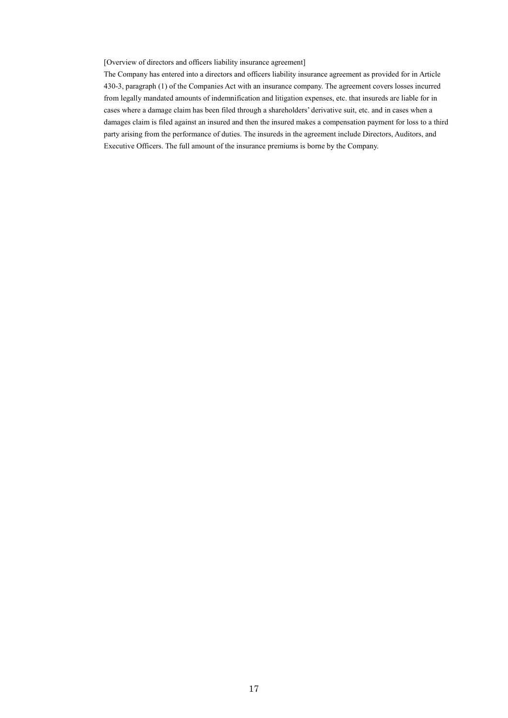#### [Overview of directors and officers liability insurance agreement]

The Company has entered into a directors and officers liability insurance agreement as provided for in Article 430-3, paragraph (1) of the Companies Act with an insurance company. The agreement covers losses incurred from legally mandated amounts of indemnification and litigation expenses, etc. that insureds are liable for in cases where a damage claim has been filed through a shareholders' derivative suit, etc. and in cases when a damages claim is filed against an insured and then the insured makes a compensation payment for loss to a third party arising from the performance of duties. The insureds in the agreement include Directors, Auditors, and Executive Officers. The full amount of the insurance premiums is borne by the Company.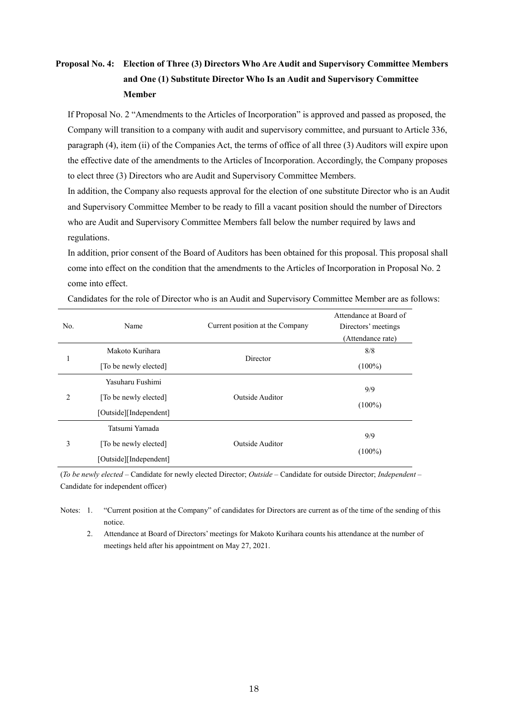# **Proposal No. 4: Election of Three (3) Directors Who Are Audit and Supervisory Committee Members and One (1) Substitute Director Who Is an Audit and Supervisory Committee Member**

If Proposal No. 2 "Amendments to the Articles of Incorporation" is approved and passed as proposed, the Company will transition to a company with audit and supervisory committee, and pursuant to Article 336, paragraph (4), item (ii) of the Companies Act, the terms of office of all three (3) Auditors will expire upon the effective date of the amendments to the Articles of Incorporation. Accordingly, the Company proposes to elect three (3) Directors who are Audit and Supervisory Committee Members.

In addition, the Company also requests approval for the election of one substitute Director who is an Audit and Supervisory Committee Member to be ready to fill a vacant position should the number of Directors who are Audit and Supervisory Committee Members fall below the number required by laws and regulations.

In addition, prior consent of the Board of Auditors has been obtained for this proposal. This proposal shall come into effect on the condition that the amendments to the Articles of Incorporation in Proposal No. 2 come into effect.

| No.            | Name                   | Current position at the Company | Attendance at Board of<br>Directors' meetings<br>(Attendance rate) |  |
|----------------|------------------------|---------------------------------|--------------------------------------------------------------------|--|
|                | Makoto Kurihara        |                                 | 8/8                                                                |  |
| 1              | [To be newly elected]  | Director                        | $(100\%)$                                                          |  |
|                | Yasuharu Fushimi       |                                 | 9/9                                                                |  |
| $\overline{2}$ | [To be newly elected]  | Outside Auditor                 |                                                                    |  |
|                | [Outside][Independent] |                                 | $(100\%)$                                                          |  |
|                | Tatsumi Yamada         |                                 | 9/9                                                                |  |
| 3              | [To be newly elected]  | Outside Auditor                 |                                                                    |  |
|                | [Outside][Independent] |                                 | $(100\%)$                                                          |  |

Candidates for the role of Director who is an Audit and Supervisory Committee Member are as follows:

(*To be newly elected* – Candidate for newly elected Director; *Outside* – Candidate for outside Director; *Independent* – Candidate for independent officer)

Notes: 1. "Current position at the Company" of candidates for Directors are current as of the time of the sending of this notice.

2. Attendance at Board of Directors' meetings for Makoto Kurihara counts his attendance at the number of meetings held after his appointment on May 27, 2021.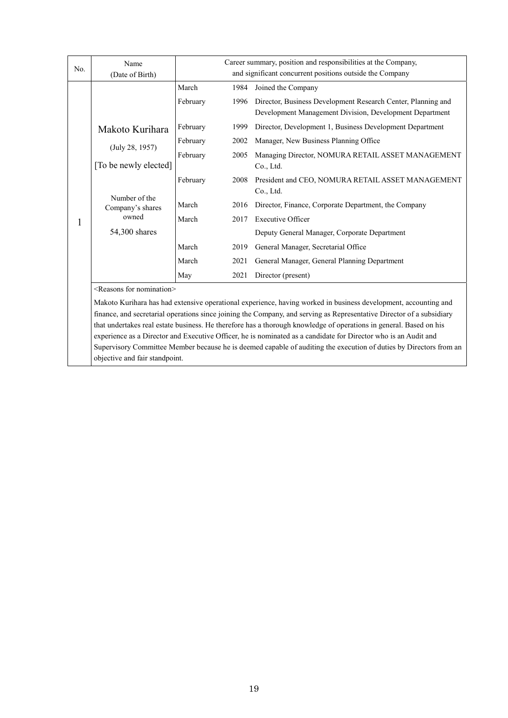| No. | Name                                     |          |      | Career summary, position and responsibilities at the Company,                                                           |
|-----|------------------------------------------|----------|------|-------------------------------------------------------------------------------------------------------------------------|
|     | (Date of Birth)                          |          |      | and significant concurrent positions outside the Company                                                                |
|     |                                          | March    | 1984 | Joined the Company                                                                                                      |
|     |                                          | February | 1996 | Director, Business Development Research Center, Planning and<br>Development Management Division, Development Department |
|     | Makoto Kurihara                          | February | 1999 | Director, Development 1, Business Development Department                                                                |
|     |                                          | February | 2002 | Manager, New Business Planning Office                                                                                   |
|     | (July 28, 1957)<br>[To be newly elected] | February | 2005 | Managing Director, NOMURA RETAIL ASSET MANAGEMENT<br>Co., Ltd.                                                          |
|     |                                          | February | 2008 | President and CEO, NOMURA RETAIL ASSET MANAGEMENT<br>Co., Ltd.                                                          |
|     | Number of the<br>Company's shares        | March    | 2016 | Director, Finance, Corporate Department, the Company                                                                    |
|     | owned                                    | March    | 2017 | <b>Executive Officer</b>                                                                                                |
|     | 54,300 shares                            |          |      | Deputy General Manager, Corporate Department                                                                            |
|     |                                          | March    | 2019 | General Manager, Secretarial Office                                                                                     |
|     |                                          | March    | 2021 | General Manager, General Planning Department                                                                            |
|     |                                          | May      | 2021 | Director (present)                                                                                                      |
|     | <reasons for="" nomination=""></reasons> |          |      |                                                                                                                         |
|     |                                          |          |      | Makoto Kurihara has had extensive operational experience, having worked in business development, accounting and         |

finance, and secretarial operations since joining the Company, and serving as Representative Director of a subsidiary that undertakes real estate business. He therefore has a thorough knowledge of operations in general. Based on his experience as a Director and Executive Officer, he is nominated as a candidate for Director who is an Audit and Supervisory Committee Member because he is deemed capable of auditing the execution of duties by Directors from an objective and fair standpoint.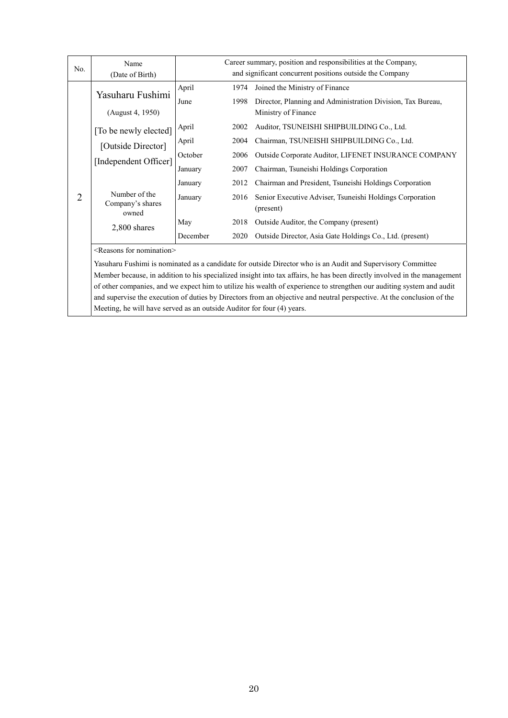| No. | Name                                       |                  | Career summary, position and responsibilities at the Company,         |
|-----|--------------------------------------------|------------------|-----------------------------------------------------------------------|
|     | (Date of Birth)                            |                  | and significant concurrent positions outside the Company              |
|     | Yasuharu Fushimi                           | April<br>1974    | Joined the Ministry of Finance                                        |
|     |                                            | 1998<br>June     | Director, Planning and Administration Division, Tax Bureau,           |
|     | (August 4, 1950)                           |                  | Ministry of Finance                                                   |
|     | [To be newly elected]                      | April<br>2002    | Auditor, TSUNEISHI SHIPBUILDING Co., Ltd.                             |
|     | [Outside Director]                         | April<br>2004    | Chairman, TSUNEISHI SHIPBUILDING Co., Ltd.                            |
|     |                                            | October<br>2006  | Outside Corporate Auditor, LIFENET INSURANCE COMPANY                  |
|     | [Independent Officer]                      | January<br>2007  | Chairman, Tsuneishi Holdings Corporation                              |
|     |                                            | January<br>2012  | Chairman and President, Tsuneishi Holdings Corporation                |
| 2   | Number of the<br>Company's shares<br>owned | January<br>2016  | Senior Executive Adviser, Tsuneishi Holdings Corporation<br>(present) |
|     | 2,800 shares                               | 2018<br>May      | Outside Auditor, the Company (present)                                |
|     |                                            | December<br>2020 | Outside Director, Asia Gate Holdings Co., Ltd. (present)              |
|     | <reasons for="" nomination=""></reasons>   |                  |                                                                       |
|     |                                            |                  |                                                                       |

Yasuharu Fushimi is nominated as a candidate for outside Director who is an Audit and Supervisory Committee Member because, in addition to his specialized insight into tax affairs, he has been directly involved in the management of other companies, and we expect him to utilize his wealth of experience to strengthen our auditing system and audit and supervise the execution of duties by Directors from an objective and neutral perspective. At the conclusion of the Meeting, he will have served as an outside Auditor for four (4) years.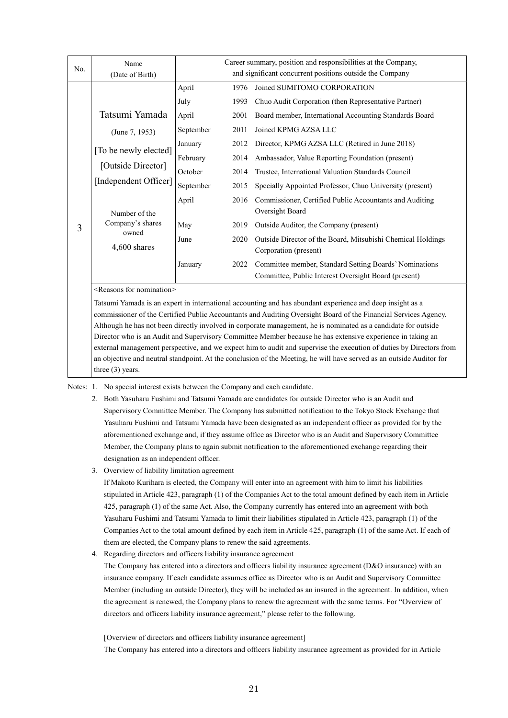| No. | Name<br>(Date of Birth)                     |               |              | Career summary, position and responsibilities at the Company,<br>and significant concurrent positions outside the Company |
|-----|---------------------------------------------|---------------|--------------|---------------------------------------------------------------------------------------------------------------------------|
|     |                                             | April<br>July | 1976<br>1993 | Joined SUMITOMO CORPORATION<br>Chuo Audit Corporation (then Representative Partner)                                       |
|     | Tatsumi Yamada                              | April         | 2001         | Board member, International Accounting Standards Board                                                                    |
|     | (June 7, 1953)                              | September     | 2011         | Joined KPMG AZSA LLC                                                                                                      |
|     | [To be newly elected]                       | January       | 2012         | Director, KPMG AZSA LLC (Retired in June 2018)                                                                            |
|     | [Outside Director]<br>[Independent Officer] | February      | 2014         | Ambassador, Value Reporting Foundation (present)                                                                          |
|     |                                             | October       | 2014         | Trustee, International Valuation Standards Council                                                                        |
|     |                                             | September     | 2015         | Specially Appointed Professor, Chuo University (present)                                                                  |
|     | Number of the                               | April         | 2016         | Commissioner, Certified Public Accountants and Auditing<br>Oversight Board                                                |
| 3   | Company's shares                            | May           | 2019         | Outside Auditor, the Company (present)                                                                                    |
|     | owned<br>$4,600$ shares                     | June          | 2020         | Outside Director of the Board, Mitsubishi Chemical Holdings<br>Corporation (present)                                      |
|     |                                             | January       | 2022         | Committee member, Standard Setting Boards' Nominations<br>Committee, Public Interest Oversight Board (present)            |
|     | <reasons for="" nomination=""></reasons>    |               |              |                                                                                                                           |

Tatsumi Yamada is an expert in international accounting and has abundant experience and deep insight as a commissioner of the Certified Public Accountants and Auditing Oversight Board of the Financial Services Agency. Although he has not been directly involved in corporate management, he is nominated as a candidate for outside Director who is an Audit and Supervisory Committee Member because he has extensive experience in taking an external management perspective, and we expect him to audit and supervise the execution of duties by Directors from an objective and neutral standpoint. At the conclusion of the Meeting, he will have served as an outside Auditor for three (3) years.

Notes: 1. No special interest exists between the Company and each candidate.

- 2. Both Yasuharu Fushimi and Tatsumi Yamada are candidates for outside Director who is an Audit and Supervisory Committee Member. The Company has submitted notification to the Tokyo Stock Exchange that Yasuharu Fushimi and Tatsumi Yamada have been designated as an independent officer as provided for by the aforementioned exchange and, if they assume office as Director who is an Audit and Supervisory Committee Member, the Company plans to again submit notification to the aforementioned exchange regarding their designation as an independent officer.
- 3. Overview of liability limitation agreement

If Makoto Kurihara is elected, the Company will enter into an agreement with him to limit his liabilities stipulated in Article 423, paragraph (1) of the Companies Act to the total amount defined by each item in Article 425, paragraph (1) of the same Act. Also, the Company currently has entered into an agreement with both Yasuharu Fushimi and Tatsumi Yamada to limit their liabilities stipulated in Article 423, paragraph (1) of the Companies Act to the total amount defined by each item in Article 425, paragraph (1) of the same Act. If each of them are elected, the Company plans to renew the said agreements.

4. Regarding directors and officers liability insurance agreement

The Company has entered into a directors and officers liability insurance agreement (D&O insurance) with an insurance company. If each candidate assumes office as Director who is an Audit and Supervisory Committee Member (including an outside Director), they will be included as an insured in the agreement. In addition, when the agreement is renewed, the Company plans to renew the agreement with the same terms. For "Overview of directors and officers liability insurance agreement," please refer to the following.

[Overview of directors and officers liability insurance agreement]

The Company has entered into a directors and officers liability insurance agreement as provided for in Article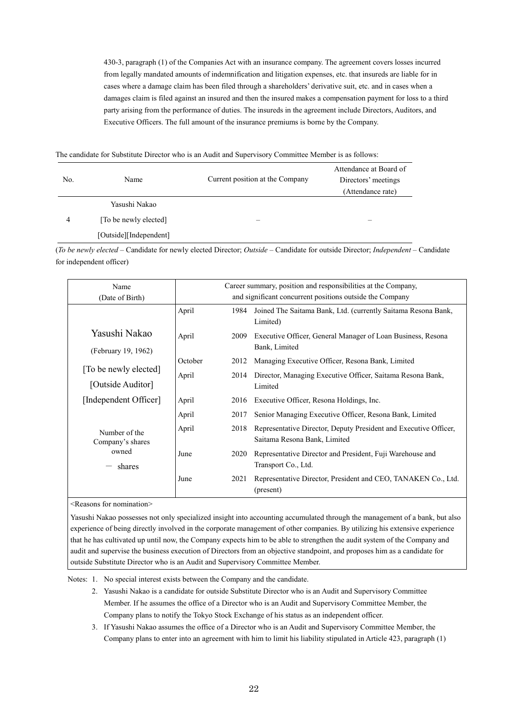430-3, paragraph (1) of the Companies Act with an insurance company. The agreement covers losses incurred from legally mandated amounts of indemnification and litigation expenses, etc. that insureds are liable for in cases where a damage claim has been filed through a shareholders' derivative suit, etc. and in cases when a damages claim is filed against an insured and then the insured makes a compensation payment for loss to a third party arising from the performance of duties. The insureds in the agreement include Directors, Auditors, and Executive Officers. The full amount of the insurance premiums is borne by the Company.

|  |  | The candidate for Substitute Director who is an Audit and Supervisory Committee Member is as follows: |
|--|--|-------------------------------------------------------------------------------------------------------|
|  |  |                                                                                                       |

| No. | Name                   | Current position at the Company | Attendance at Board of<br>Directors' meetings<br>(Attendance rate) |
|-----|------------------------|---------------------------------|--------------------------------------------------------------------|
|     | Yasushi Nakao          |                                 |                                                                    |
| 4   | [To be newly elected]  |                                 |                                                                    |
|     | [Outside][Independent] |                                 |                                                                    |

(*To be newly elected* – Candidate for newly elected Director; *Outside* – Candidate for outside Director; *Independent* – Candidate for independent officer)

| Name<br>(Date of Birth)                    |         |      | Career summary, position and responsibilities at the Company,<br>and significant concurrent positions outside the Company |
|--------------------------------------------|---------|------|---------------------------------------------------------------------------------------------------------------------------|
|                                            | April   | 1984 | Joined The Saitama Bank, Ltd. (currently Saitama Resona Bank,<br>Limited)                                                 |
| Yasushi Nakao<br>(February 19, 1962)       | April   | 2009 | Executive Officer, General Manager of Loan Business, Resona<br>Bank, Limited                                              |
|                                            | October | 2012 | Managing Executive Officer, Resona Bank, Limited                                                                          |
| [To be newly elected]<br>[Outside Auditor] | April   | 2014 | Director, Managing Executive Officer, Saitama Resona Bank,<br>Limited                                                     |
| [Independent Officer]                      | April   | 2016 | Executive Officer, Resona Holdings, Inc.                                                                                  |
|                                            | April   | 2017 | Senior Managing Executive Officer, Resona Bank, Limited                                                                   |
| Number of the<br>Company's shares          | April   | 2018 | Representative Director, Deputy President and Executive Officer,<br>Saitama Resona Bank, Limited                          |
| owned<br>shares                            | June    | 2020 | Representative Director and President, Fuji Warehouse and<br>Transport Co., Ltd.                                          |
|                                            | June    | 2021 | Representative Director, President and CEO, TANAKEN Co., Ltd.<br>(present)                                                |

<Reasons for nomination>

Yasushi Nakao possesses not only specialized insight into accounting accumulated through the management of a bank, but also experience of being directly involved in the corporate management of other companies. By utilizing his extensive experience that he has cultivated up until now, the Company expects him to be able to strengthen the audit system of the Company and audit and supervise the business execution of Directors from an objective standpoint, and proposes him as a candidate for outside Substitute Director who is an Audit and Supervisory Committee Member.

Notes: 1. No special interest exists between the Company and the candidate.

- 2. Yasushi Nakao is a candidate for outside Substitute Director who is an Audit and Supervisory Committee Member. If he assumes the office of a Director who is an Audit and Supervisory Committee Member, the Company plans to notify the Tokyo Stock Exchange of his status as an independent officer.
- 3. If Yasushi Nakao assumes the office of a Director who is an Audit and Supervisory Committee Member, the Company plans to enter into an agreement with him to limit his liability stipulated in Article 423, paragraph (1)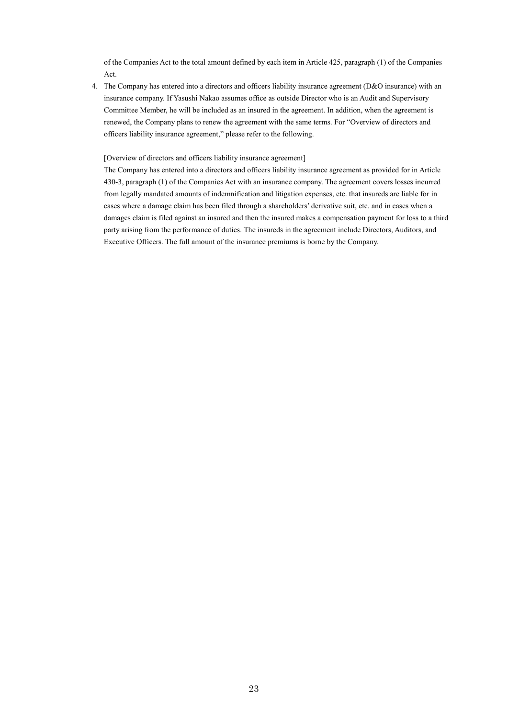of the Companies Act to the total amount defined by each item in Article 425, paragraph (1) of the Companies Act.

4. The Company has entered into a directors and officers liability insurance agreement (D&O insurance) with an insurance company. If Yasushi Nakao assumes office as outside Director who is an Audit and Supervisory Committee Member, he will be included as an insured in the agreement. In addition, when the agreement is renewed, the Company plans to renew the agreement with the same terms. For "Overview of directors and officers liability insurance agreement," please refer to the following.

[Overview of directors and officers liability insurance agreement]

The Company has entered into a directors and officers liability insurance agreement as provided for in Article 430-3, paragraph (1) of the Companies Act with an insurance company. The agreement covers losses incurred from legally mandated amounts of indemnification and litigation expenses, etc. that insureds are liable for in cases where a damage claim has been filed through a shareholders' derivative suit, etc. and in cases when a damages claim is filed against an insured and then the insured makes a compensation payment for loss to a third party arising from the performance of duties. The insureds in the agreement include Directors, Auditors, and Executive Officers. The full amount of the insurance premiums is borne by the Company.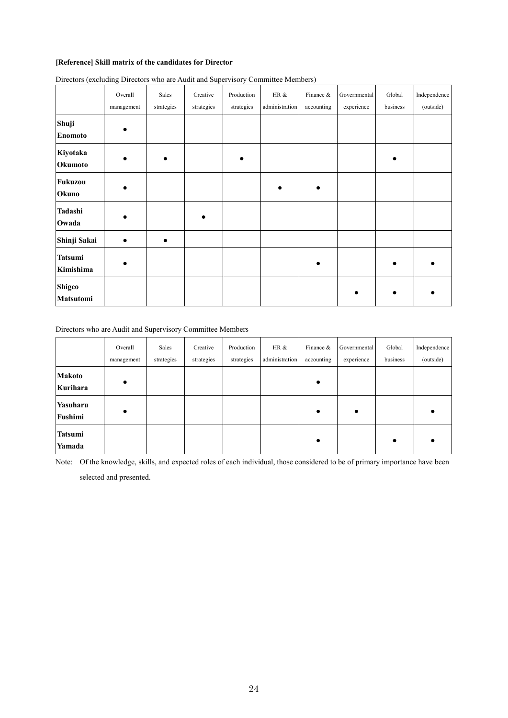## **[Reference] Skill matrix of the candidates for Director**

|                             | Overall<br>management | Sales<br>strategies | Creative<br>strategies | Production<br>strategies | HR &<br>administration | Finance &<br>accounting | Governmental<br>experience | Global<br>business | Independence<br>(outside) |
|-----------------------------|-----------------------|---------------------|------------------------|--------------------------|------------------------|-------------------------|----------------------------|--------------------|---------------------------|
| Shuji<br><b>Enomoto</b>     |                       |                     |                        |                          |                        |                         |                            |                    |                           |
| Kiyotaka<br>Okumoto         |                       |                     |                        |                          |                        |                         |                            |                    |                           |
| Fukuzou<br>Okuno            |                       |                     |                        |                          |                        |                         |                            |                    |                           |
| Tadashi<br>Owada            |                       |                     |                        |                          |                        |                         |                            |                    |                           |
| Shinji Sakai                |                       |                     |                        |                          |                        |                         |                            |                    |                           |
| <b>Tatsumi</b><br>Kimishima |                       |                     |                        |                          |                        |                         |                            |                    |                           |
| <b>Shigeo</b><br>Matsutomi  |                       |                     |                        |                          |                        |                         |                            |                    |                           |

Directors (excluding Directors who are Audit and Supervisory Committee Members)

Directors who are Audit and Supervisory Committee Members

|                          | Overall<br>management | Sales<br>strategies | Creative<br>strategies | Production<br>strategies | HR &<br>administration | Finance &<br>accounting | Governmental<br>experience | Global<br>business | Independence<br>(outside) |
|--------------------------|-----------------------|---------------------|------------------------|--------------------------|------------------------|-------------------------|----------------------------|--------------------|---------------------------|
| Makoto<br>Kurihara       |                       |                     |                        |                          |                        |                         |                            |                    |                           |
| Yasuharu<br>Fushimi      |                       |                     |                        |                          |                        | $\bullet$               | $\bullet$                  |                    |                           |
| <b>Tatsumi</b><br>Yamada |                       |                     |                        |                          |                        |                         |                            | $\bullet$          |                           |

Note: Of the knowledge, skills, and expected roles of each individual, those considered to be of primary importance have been

selected and presented.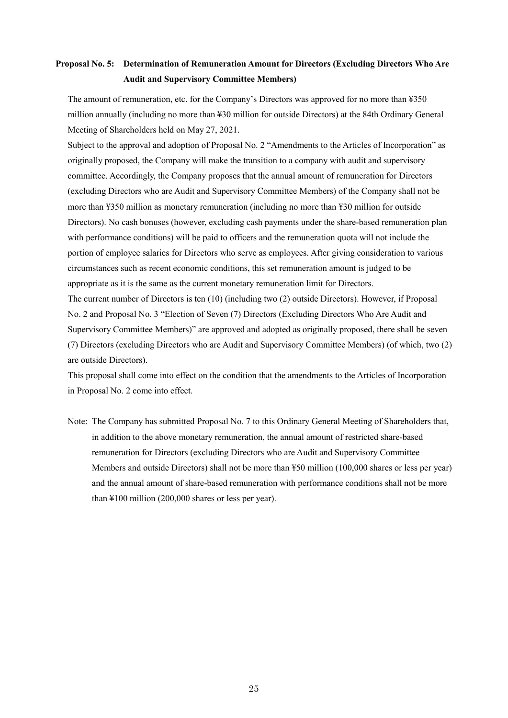# **Proposal No. 5: Determination of Remuneration Amount for Directors (Excluding Directors Who Are Audit and Supervisory Committee Members)**

The amount of remuneration, etc. for the Company's Directors was approved for no more than ¥350 million annually (including no more than ¥30 million for outside Directors) at the 84th Ordinary General Meeting of Shareholders held on May 27, 2021.

Subject to the approval and adoption of Proposal No. 2 "Amendments to the Articles of Incorporation" as originally proposed, the Company will make the transition to a company with audit and supervisory committee. Accordingly, the Company proposes that the annual amount of remuneration for Directors (excluding Directors who are Audit and Supervisory Committee Members) of the Company shall not be more than ¥350 million as monetary remuneration (including no more than ¥30 million for outside Directors). No cash bonuses (however, excluding cash payments under the share-based remuneration plan with performance conditions) will be paid to officers and the remuneration quota will not include the portion of employee salaries for Directors who serve as employees. After giving consideration to various circumstances such as recent economic conditions, this set remuneration amount is judged to be appropriate as it is the same as the current monetary remuneration limit for Directors.

The current number of Directors is ten (10) (including two (2) outside Directors). However, if Proposal No. 2 and Proposal No. 3 "Election of Seven (7) Directors (Excluding Directors Who Are Audit and Supervisory Committee Members)" are approved and adopted as originally proposed, there shall be seven (7) Directors (excluding Directors who are Audit and Supervisory Committee Members) (of which, two (2) are outside Directors).

This proposal shall come into effect on the condition that the amendments to the Articles of Incorporation in Proposal No. 2 come into effect.

Note: The Company has submitted Proposal No. 7 to this Ordinary General Meeting of Shareholders that, in addition to the above monetary remuneration, the annual amount of restricted share-based remuneration for Directors (excluding Directors who are Audit and Supervisory Committee Members and outside Directors) shall not be more than ¥50 million (100,000 shares or less per year) and the annual amount of share-based remuneration with performance conditions shall not be more than ¥100 million (200,000 shares or less per year).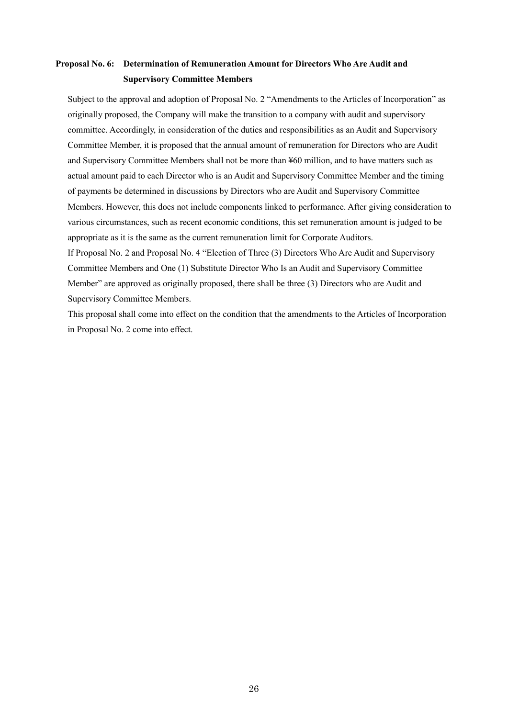# **Proposal No. 6: Determination of Remuneration Amount for Directors Who Are Audit and Supervisory Committee Members**

Subject to the approval and adoption of Proposal No. 2 "Amendments to the Articles of Incorporation" as originally proposed, the Company will make the transition to a company with audit and supervisory committee. Accordingly, in consideration of the duties and responsibilities as an Audit and Supervisory Committee Member, it is proposed that the annual amount of remuneration for Directors who are Audit and Supervisory Committee Members shall not be more than ¥60 million, and to have matters such as actual amount paid to each Director who is an Audit and Supervisory Committee Member and the timing of payments be determined in discussions by Directors who are Audit and Supervisory Committee Members. However, this does not include components linked to performance. After giving consideration to various circumstances, such as recent economic conditions, this set remuneration amount is judged to be appropriate as it is the same as the current remuneration limit for Corporate Auditors.

If Proposal No. 2 and Proposal No. 4 "Election of Three (3) Directors Who Are Audit and Supervisory Committee Members and One (1) Substitute Director Who Is an Audit and Supervisory Committee Member" are approved as originally proposed, there shall be three (3) Directors who are Audit and Supervisory Committee Members.

This proposal shall come into effect on the condition that the amendments to the Articles of Incorporation in Proposal No. 2 come into effect.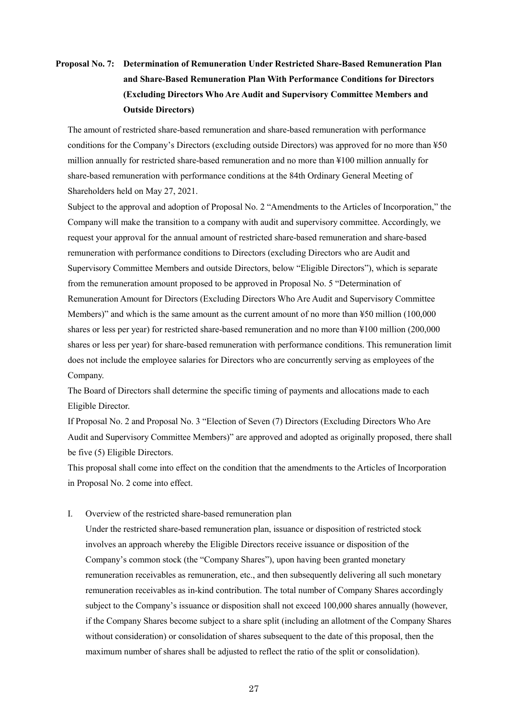# **Proposal No. 7: Determination of Remuneration Under Restricted Share-Based Remuneration Plan and Share-Based Remuneration Plan With Performance Conditions for Directors (Excluding Directors Who Are Audit and Supervisory Committee Members and Outside Directors)**

The amount of restricted share-based remuneration and share-based remuneration with performance conditions for the Company's Directors (excluding outside Directors) was approved for no more than ¥50 million annually for restricted share-based remuneration and no more than ¥100 million annually for share-based remuneration with performance conditions at the 84th Ordinary General Meeting of Shareholders held on May 27, 2021.

Subject to the approval and adoption of Proposal No. 2 "Amendments to the Articles of Incorporation," the Company will make the transition to a company with audit and supervisory committee. Accordingly, we request your approval for the annual amount of restricted share-based remuneration and share-based remuneration with performance conditions to Directors (excluding Directors who are Audit and Supervisory Committee Members and outside Directors, below "Eligible Directors"), which is separate from the remuneration amount proposed to be approved in Proposal No. 5 "Determination of Remuneration Amount for Directors (Excluding Directors Who Are Audit and Supervisory Committee Members)" and which is the same amount as the current amount of no more than ¥50 million (100,000) shares or less per year) for restricted share-based remuneration and no more than ¥100 million (200,000 shares or less per year) for share-based remuneration with performance conditions. This remuneration limit does not include the employee salaries for Directors who are concurrently serving as employees of the Company.

The Board of Directors shall determine the specific timing of payments and allocations made to each Eligible Director.

If Proposal No. 2 and Proposal No. 3 "Election of Seven (7) Directors (Excluding Directors Who Are Audit and Supervisory Committee Members)" are approved and adopted as originally proposed, there shall be five (5) Eligible Directors.

This proposal shall come into effect on the condition that the amendments to the Articles of Incorporation in Proposal No. 2 come into effect.

### I. Overview of the restricted share-based remuneration plan

Under the restricted share-based remuneration plan, issuance or disposition of restricted stock involves an approach whereby the Eligible Directors receive issuance or disposition of the Company's common stock (the "Company Shares"), upon having been granted monetary remuneration receivables as remuneration, etc., and then subsequently delivering all such monetary remuneration receivables as in-kind contribution. The total number of Company Shares accordingly subject to the Company's issuance or disposition shall not exceed 100,000 shares annually (however, if the Company Shares become subject to a share split (including an allotment of the Company Shares without consideration) or consolidation of shares subsequent to the date of this proposal, then the maximum number of shares shall be adjusted to reflect the ratio of the split or consolidation).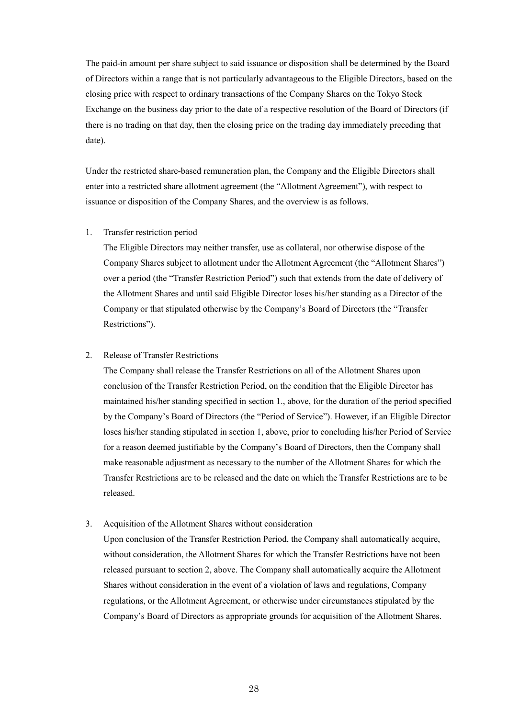The paid-in amount per share subject to said issuance or disposition shall be determined by the Board of Directors within a range that is not particularly advantageous to the Eligible Directors, based on the closing price with respect to ordinary transactions of the Company Shares on the Tokyo Stock Exchange on the business day prior to the date of a respective resolution of the Board of Directors (if there is no trading on that day, then the closing price on the trading day immediately preceding that date).

Under the restricted share-based remuneration plan, the Company and the Eligible Directors shall enter into a restricted share allotment agreement (the "Allotment Agreement"), with respect to issuance or disposition of the Company Shares, and the overview is as follows.

#### 1. Transfer restriction period

The Eligible Directors may neither transfer, use as collateral, nor otherwise dispose of the Company Shares subject to allotment under the Allotment Agreement (the "Allotment Shares") over a period (the "Transfer Restriction Period") such that extends from the date of delivery of the Allotment Shares and until said Eligible Director loses his/her standing as a Director of the Company or that stipulated otherwise by the Company's Board of Directors (the "Transfer Restrictions").

### 2. Release of Transfer Restrictions

The Company shall release the Transfer Restrictions on all of the Allotment Shares upon conclusion of the Transfer Restriction Period, on the condition that the Eligible Director has maintained his/her standing specified in section 1., above, for the duration of the period specified by the Company's Board of Directors (the "Period of Service"). However, if an Eligible Director loses his/her standing stipulated in section 1, above, prior to concluding his/her Period of Service for a reason deemed justifiable by the Company's Board of Directors, then the Company shall make reasonable adjustment as necessary to the number of the Allotment Shares for which the Transfer Restrictions are to be released and the date on which the Transfer Restrictions are to be released.

### 3. Acquisition of the Allotment Shares without consideration

Upon conclusion of the Transfer Restriction Period, the Company shall automatically acquire, without consideration, the Allotment Shares for which the Transfer Restrictions have not been released pursuant to section 2, above. The Company shall automatically acquire the Allotment Shares without consideration in the event of a violation of laws and regulations, Company regulations, or the Allotment Agreement, or otherwise under circumstances stipulated by the Company's Board of Directors as appropriate grounds for acquisition of the Allotment Shares.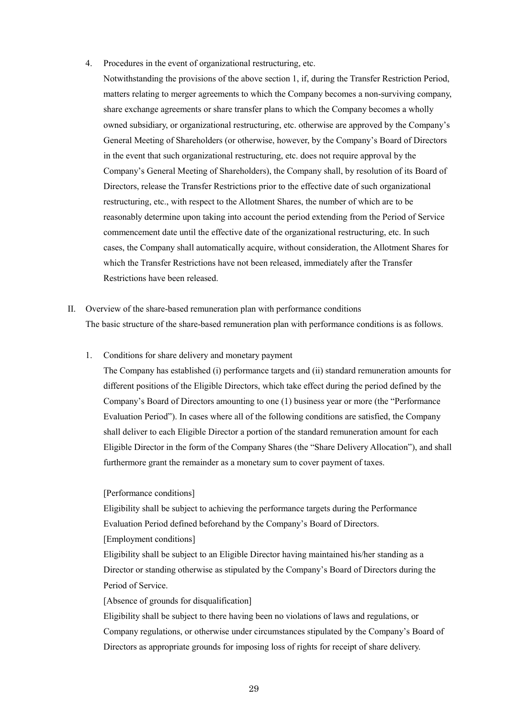- 4. Procedures in the event of organizational restructuring, etc.
	- Notwithstanding the provisions of the above section 1, if, during the Transfer Restriction Period, matters relating to merger agreements to which the Company becomes a non-surviving company, share exchange agreements or share transfer plans to which the Company becomes a wholly owned subsidiary, or organizational restructuring, etc. otherwise are approved by the Company's General Meeting of Shareholders (or otherwise, however, by the Company's Board of Directors in the event that such organizational restructuring, etc. does not require approval by the Company's General Meeting of Shareholders), the Company shall, by resolution of its Board of Directors, release the Transfer Restrictions prior to the effective date of such organizational restructuring, etc., with respect to the Allotment Shares, the number of which are to be reasonably determine upon taking into account the period extending from the Period of Service commencement date until the effective date of the organizational restructuring, etc. In such cases, the Company shall automatically acquire, without consideration, the Allotment Shares for which the Transfer Restrictions have not been released, immediately after the Transfer Restrictions have been released.
- II. Overview of the share-based remuneration plan with performance conditions The basic structure of the share-based remuneration plan with performance conditions is as follows.
	- 1. Conditions for share delivery and monetary payment

The Company has established (i) performance targets and (ii) standard remuneration amounts for different positions of the Eligible Directors, which take effect during the period defined by the Company's Board of Directors amounting to one (1) business year or more (the "Performance Evaluation Period"). In cases where all of the following conditions are satisfied, the Company shall deliver to each Eligible Director a portion of the standard remuneration amount for each Eligible Director in the form of the Company Shares (the "Share Delivery Allocation"), and shall furthermore grant the remainder as a monetary sum to cover payment of taxes.

### [Performance conditions]

Eligibility shall be subject to achieving the performance targets during the Performance Evaluation Period defined beforehand by the Company's Board of Directors.

[Employment conditions]

Eligibility shall be subject to an Eligible Director having maintained his/her standing as a Director or standing otherwise as stipulated by the Company's Board of Directors during the Period of Service.

[Absence of grounds for disqualification]

Eligibility shall be subject to there having been no violations of laws and regulations, or Company regulations, or otherwise under circumstances stipulated by the Company's Board of Directors as appropriate grounds for imposing loss of rights for receipt of share delivery.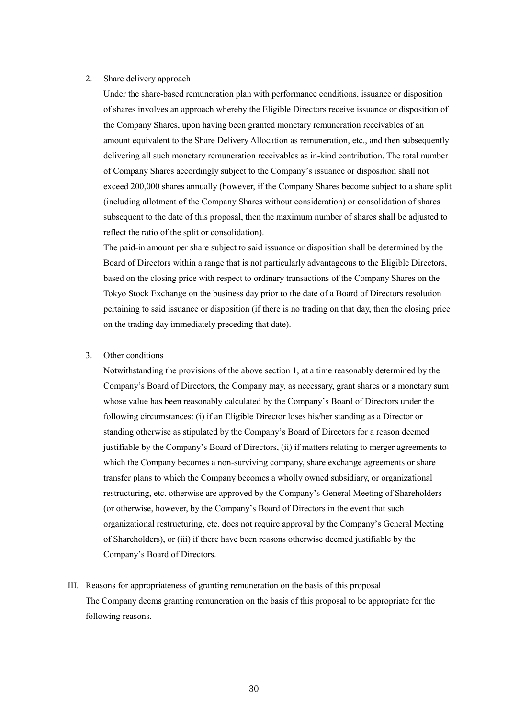#### 2. Share delivery approach

Under the share-based remuneration plan with performance conditions, issuance or disposition of shares involves an approach whereby the Eligible Directors receive issuance or disposition of the Company Shares, upon having been granted monetary remuneration receivables of an amount equivalent to the Share Delivery Allocation as remuneration, etc., and then subsequently delivering all such monetary remuneration receivables as in-kind contribution. The total number of Company Shares accordingly subject to the Company's issuance or disposition shall not exceed 200,000 shares annually (however, if the Company Shares become subject to a share split (including allotment of the Company Shares without consideration) or consolidation of shares subsequent to the date of this proposal, then the maximum number of shares shall be adjusted to reflect the ratio of the split or consolidation).

The paid-in amount per share subject to said issuance or disposition shall be determined by the Board of Directors within a range that is not particularly advantageous to the Eligible Directors, based on the closing price with respect to ordinary transactions of the Company Shares on the Tokyo Stock Exchange on the business day prior to the date of a Board of Directors resolution pertaining to said issuance or disposition (if there is no trading on that day, then the closing price on the trading day immediately preceding that date).

### 3. Other conditions

Notwithstanding the provisions of the above section 1, at a time reasonably determined by the Company's Board of Directors, the Company may, as necessary, grant shares or a monetary sum whose value has been reasonably calculated by the Company's Board of Directors under the following circumstances: (i) if an Eligible Director loses his/her standing as a Director or standing otherwise as stipulated by the Company's Board of Directors for a reason deemed justifiable by the Company's Board of Directors, (ii) if matters relating to merger agreements to which the Company becomes a non-surviving company, share exchange agreements or share transfer plans to which the Company becomes a wholly owned subsidiary, or organizational restructuring, etc. otherwise are approved by the Company's General Meeting of Shareholders (or otherwise, however, by the Company's Board of Directors in the event that such organizational restructuring, etc. does not require approval by the Company's General Meeting of Shareholders), or (iii) if there have been reasons otherwise deemed justifiable by the Company's Board of Directors.

III. Reasons for appropriateness of granting remuneration on the basis of this proposal The Company deems granting remuneration on the basis of this proposal to be appropriate for the following reasons.